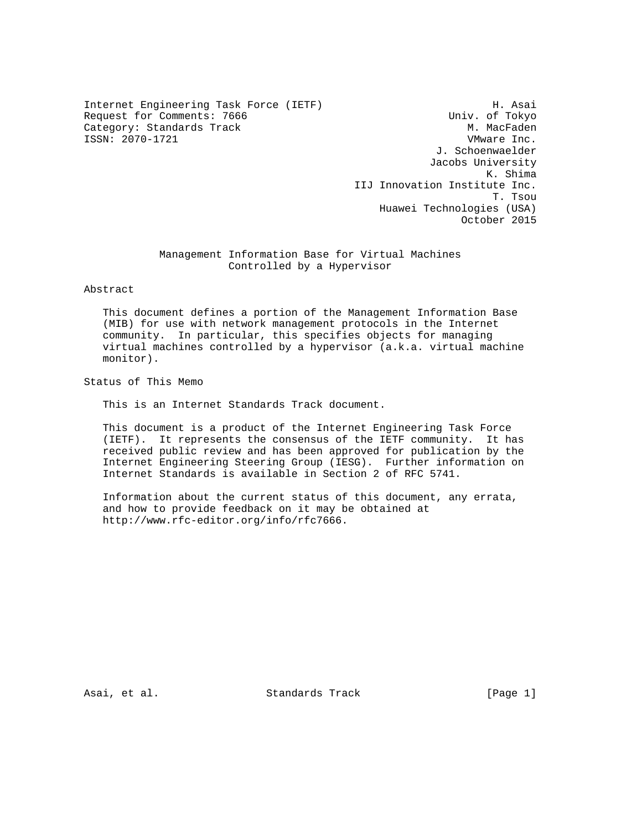Internet Engineering Task Force (IETF) H. Asai<br>Request for Comments: 7666 (IETF) H. Asai Request for Comments: 7666 Category: Standards Track Metal Metal M. MacFaden ISSN: 2070-1721 VMware Inc.

 J. Schoenwaelder Jacobs University K. Shima IIJ Innovation Institute Inc. T. Tsou Huawei Technologies (USA) October 2015

## Management Information Base for Virtual Machines Controlled by a Hypervisor

Abstract

 This document defines a portion of the Management Information Base (MIB) for use with network management protocols in the Internet community. In particular, this specifies objects for managing virtual machines controlled by a hypervisor (a.k.a. virtual machine monitor).

Status of This Memo

This is an Internet Standards Track document.

 This document is a product of the Internet Engineering Task Force (IETF). It represents the consensus of the IETF community. It has received public review and has been approved for publication by the Internet Engineering Steering Group (IESG). Further information on Internet Standards is available in Section 2 of RFC 5741.

 Information about the current status of this document, any errata, and how to provide feedback on it may be obtained at http://www.rfc-editor.org/info/rfc7666.

Asai, et al. Standards Track [Page 1]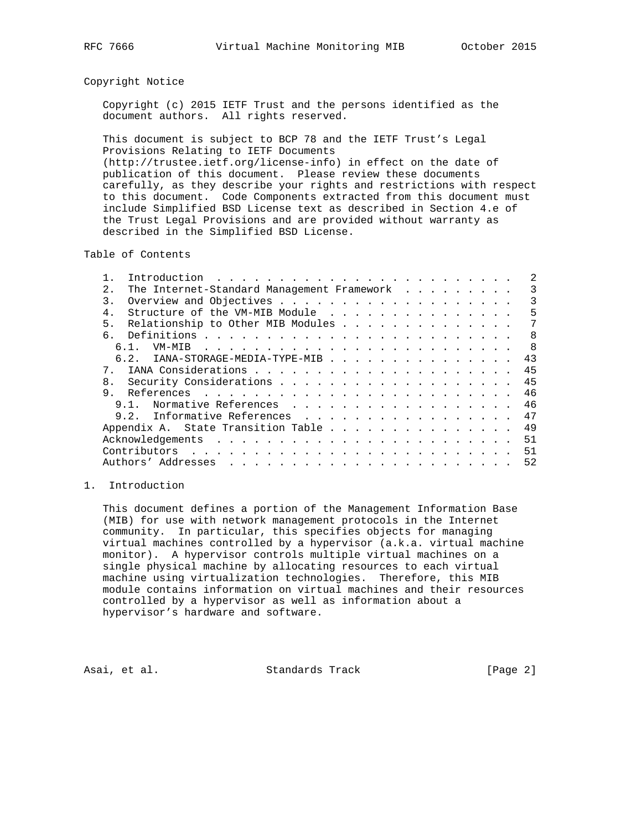#### Copyright Notice

 Copyright (c) 2015 IETF Trust and the persons identified as the document authors. All rights reserved.

 This document is subject to BCP 78 and the IETF Trust's Legal Provisions Relating to IETF Documents (http://trustee.ietf.org/license-info) in effect on the date of

 publication of this document. Please review these documents carefully, as they describe your rights and restrictions with respect to this document. Code Components extracted from this document must include Simplified BSD License text as described in Section 4.e of the Trust Legal Provisions and are provided without warranty as described in the Simplified BSD License.

Table of Contents

| 2.1            | The Internet-Standard Management Framework |                      |  |  |  |  |  |  |  |  |  | 3              |
|----------------|--------------------------------------------|----------------------|--|--|--|--|--|--|--|--|--|----------------|
| $\mathcal{R}$  |                                            |                      |  |  |  |  |  |  |  |  |  | 3              |
|                | Structure of the VM-MIB Module             |                      |  |  |  |  |  |  |  |  |  | 5              |
| 5.             | Relationship to Other MIB Modules          |                      |  |  |  |  |  |  |  |  |  | 7              |
| რ.             |                                            |                      |  |  |  |  |  |  |  |  |  | 8              |
|                | 6.1.                                       |                      |  |  |  |  |  |  |  |  |  | $\overline{8}$ |
|                | 6.2. IANA-STORAGE-MEDIA-TYPE-MIB           |                      |  |  |  |  |  |  |  |  |  | 43             |
| $7^{\circ}$    |                                            |                      |  |  |  |  |  |  |  |  |  | 45             |
| 8 <sub>1</sub> |                                            |                      |  |  |  |  |  |  |  |  |  | 45             |
| 9.             |                                            |                      |  |  |  |  |  |  |  |  |  | 46             |
|                | 9.1.                                       | Normative References |  |  |  |  |  |  |  |  |  | 46             |
|                | 9.2. Informative References                |                      |  |  |  |  |  |  |  |  |  | 47             |
|                | Appendix A. State Transition Table         |                      |  |  |  |  |  |  |  |  |  | 49             |
|                |                                            |                      |  |  |  |  |  |  |  |  |  | 51             |
|                |                                            |                      |  |  |  |  |  |  |  |  |  | 51             |
|                |                                            |                      |  |  |  |  |  |  |  |  |  | 52             |
|                |                                            |                      |  |  |  |  |  |  |  |  |  |                |

# 1. Introduction

 This document defines a portion of the Management Information Base (MIB) for use with network management protocols in the Internet community. In particular, this specifies objects for managing virtual machines controlled by a hypervisor (a.k.a. virtual machine monitor). A hypervisor controls multiple virtual machines on a single physical machine by allocating resources to each virtual machine using virtualization technologies. Therefore, this MIB module contains information on virtual machines and their resources controlled by a hypervisor as well as information about a hypervisor's hardware and software.

Asai, et al. Standards Track [Page 2]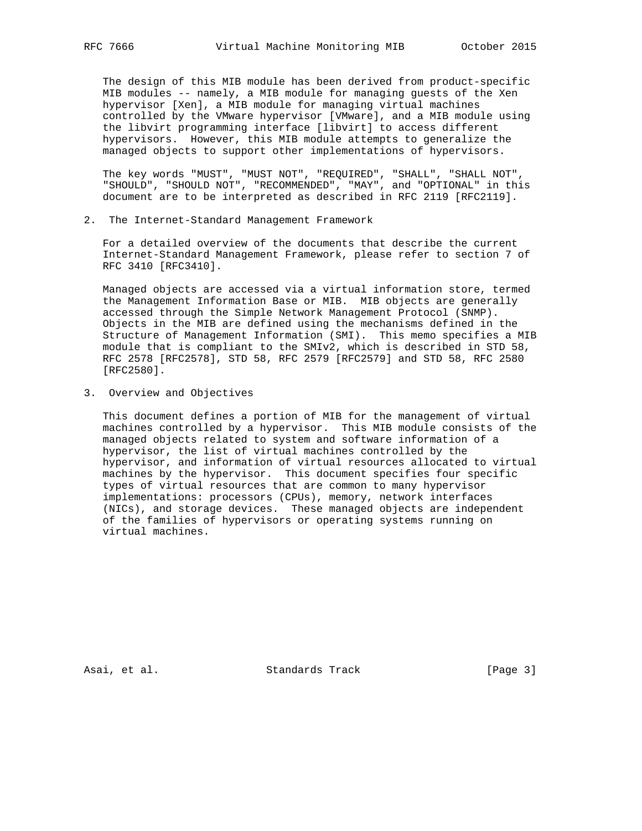The design of this MIB module has been derived from product-specific MIB modules -- namely, a MIB module for managing guests of the Xen hypervisor [Xen], a MIB module for managing virtual machines controlled by the VMware hypervisor [VMware], and a MIB module using the libvirt programming interface [libvirt] to access different hypervisors. However, this MIB module attempts to generalize the managed objects to support other implementations of hypervisors.

 The key words "MUST", "MUST NOT", "REQUIRED", "SHALL", "SHALL NOT", "SHOULD", "SHOULD NOT", "RECOMMENDED", "MAY", and "OPTIONAL" in this document are to be interpreted as described in RFC 2119 [RFC2119].

2. The Internet-Standard Management Framework

 For a detailed overview of the documents that describe the current Internet-Standard Management Framework, please refer to section 7 of RFC 3410 [RFC3410].

 Managed objects are accessed via a virtual information store, termed the Management Information Base or MIB. MIB objects are generally accessed through the Simple Network Management Protocol (SNMP). Objects in the MIB are defined using the mechanisms defined in the Structure of Management Information (SMI). This memo specifies a MIB module that is compliant to the SMIv2, which is described in STD 58, RFC 2578 [RFC2578], STD 58, RFC 2579 [RFC2579] and STD 58, RFC 2580 [RFC2580].

3. Overview and Objectives

 This document defines a portion of MIB for the management of virtual machines controlled by a hypervisor. This MIB module consists of the managed objects related to system and software information of a hypervisor, the list of virtual machines controlled by the hypervisor, and information of virtual resources allocated to virtual machines by the hypervisor. This document specifies four specific types of virtual resources that are common to many hypervisor implementations: processors (CPUs), memory, network interfaces (NICs), and storage devices. These managed objects are independent of the families of hypervisors or operating systems running on virtual machines.

Asai, et al. Standards Track [Page 3]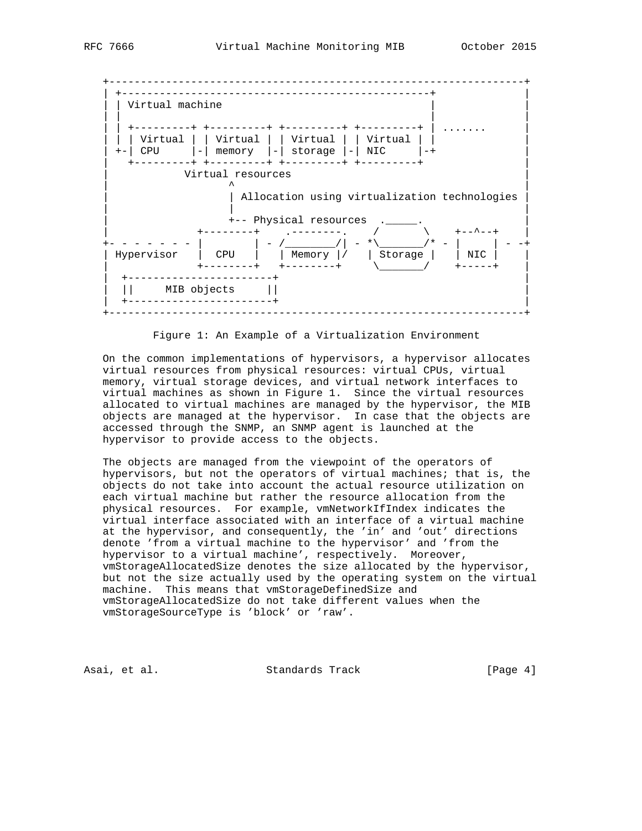



Figure 1: An Example of a Virtualization Environment

 On the common implementations of hypervisors, a hypervisor allocates virtual resources from physical resources: virtual CPUs, virtual memory, virtual storage devices, and virtual network interfaces to virtual machines as shown in Figure 1. Since the virtual resources allocated to virtual machines are managed by the hypervisor, the MIB objects are managed at the hypervisor. In case that the objects are accessed through the SNMP, an SNMP agent is launched at the hypervisor to provide access to the objects.

 The objects are managed from the viewpoint of the operators of hypervisors, but not the operators of virtual machines; that is, the objects do not take into account the actual resource utilization on each virtual machine but rather the resource allocation from the physical resources. For example, vmNetworkIfIndex indicates the virtual interface associated with an interface of a virtual machine at the hypervisor, and consequently, the 'in' and 'out' directions denote 'from a virtual machine to the hypervisor' and 'from the hypervisor to a virtual machine', respectively. Moreover, vmStorageAllocatedSize denotes the size allocated by the hypervisor, but not the size actually used by the operating system on the virtual machine. This means that vmStorageDefinedSize and vmStorageAllocatedSize do not take different values when the vmStorageSourceType is 'block' or 'raw'.

Asai, et al. Standards Track [Page 4]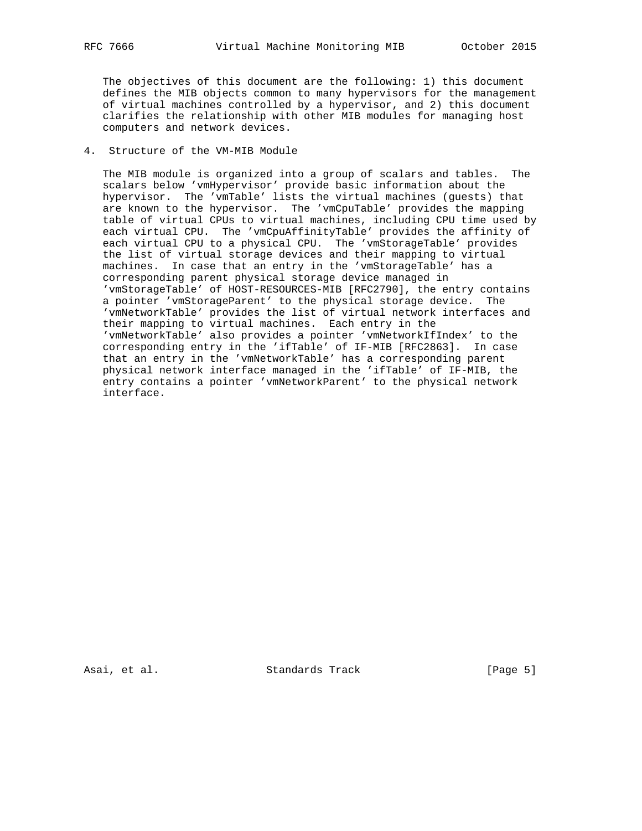The objectives of this document are the following: 1) this document defines the MIB objects common to many hypervisors for the management of virtual machines controlled by a hypervisor, and 2) this document clarifies the relationship with other MIB modules for managing host computers and network devices.

### 4. Structure of the VM-MIB Module

 The MIB module is organized into a group of scalars and tables. The scalars below 'vmHypervisor' provide basic information about the hypervisor. The 'vmTable' lists the virtual machines (guests) that are known to the hypervisor. The 'vmCpuTable' provides the mapping table of virtual CPUs to virtual machines, including CPU time used by each virtual CPU. The 'vmCpuAffinityTable' provides the affinity of each virtual CPU to a physical CPU. The 'vmStorageTable' provides the list of virtual storage devices and their mapping to virtual machines. In case that an entry in the 'vmStorageTable' has a corresponding parent physical storage device managed in 'vmStorageTable' of HOST-RESOURCES-MIB [RFC2790], the entry contains a pointer 'vmStorageParent' to the physical storage device. The 'vmNetworkTable' provides the list of virtual network interfaces and their mapping to virtual machines. Each entry in the 'vmNetworkTable' also provides a pointer 'vmNetworkIfIndex' to the corresponding entry in the 'ifTable' of IF-MIB [RFC2863]. In case that an entry in the 'vmNetworkTable' has a corresponding parent physical network interface managed in the 'ifTable' of IF-MIB, the entry contains a pointer 'vmNetworkParent' to the physical network interface.

Asai, et al. Standards Track [Page 5]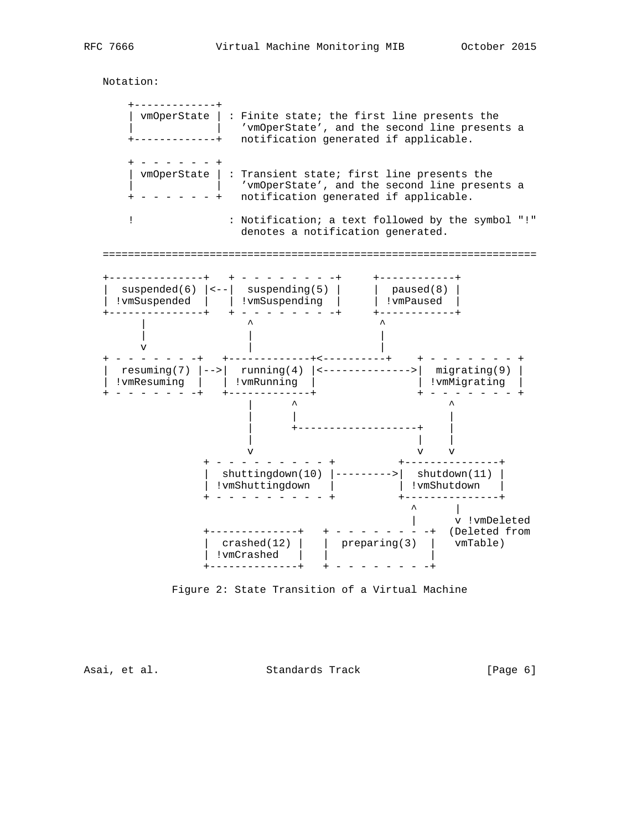Notation:

 +-------------+ | vmOperState | : Finite state; the first line presents the | | 'vmOperState', and the second line presents a +-------------+ notification generated if applicable. + - - - - - - + | vmOperState | : Transient state; first line presents the | 'vmOperState', and the second line presents a  $+ - - - - - +$  notification generated if applicable. ! : Notification; a text followed by the symbol "!" denotes a notification generated. ===================================================================== +---------------+ + - - - - - - - -+ +------------+ | suspended(6)  $|---|$  suspending(5) | | paused(8) | | !vmSuspended | | !vmSuspending | | !vmPaused | +---------------+ + - - - - - - - -+ +------------+  $\qquad \qquad \wedge$  | | | v | | + - - - - - - -+ +-------------+<----------+ + - - - - - - - + | resuming(7) |-->| running(4) |<-------------->| migrating(9) | | !vmResuming | | !vmRunning | | !vmMigrating | + - - - - - - -+ +-------------+ + - - - - - - - + | ^ ^ | | | | +-------------------+ | | | | v v v + - - - - - - - - - + +---------------+ | shuttingdown(10) |--------->| shutdown(11) | | !vmShuttingdown | | !vmShutdown | + - - - - - - - - - + +---------------+ ^ |<br>| v !vmDeleted | v !vmDeleted +--------------+ + - - - - - - - -+ (Deleted from | crashed(12) | | preparing(3) | vmTable) | !vmCrashed | | | +--------------+ + - - - - - - - -+

Figure 2: State Transition of a Virtual Machine

Asai, et al. Standards Track (Page 6)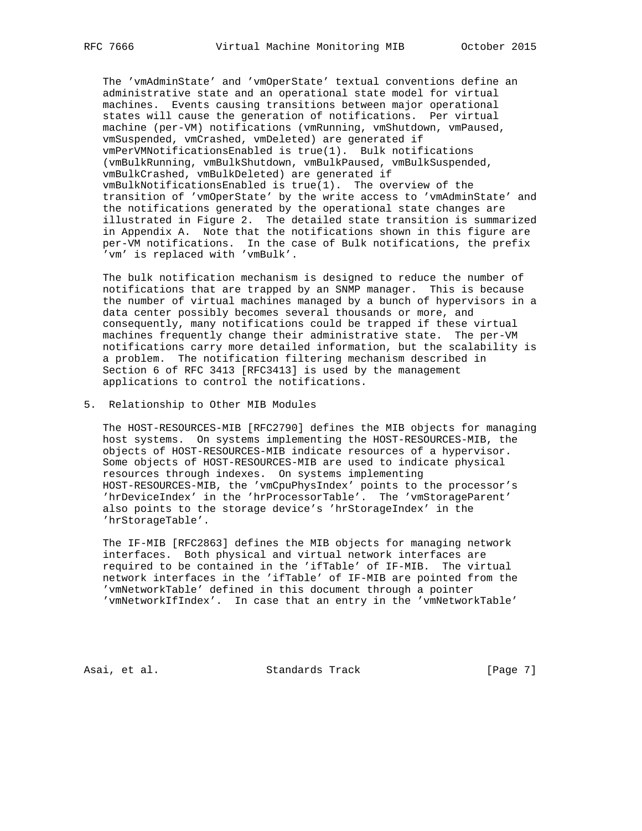The 'vmAdminState' and 'vmOperState' textual conventions define an administrative state and an operational state model for virtual machines. Events causing transitions between major operational states will cause the generation of notifications. Per virtual machine (per-VM) notifications (vmRunning, vmShutdown, vmPaused, vmSuspended, vmCrashed, vmDeleted) are generated if vmPerVMNotificationsEnabled is true(1). Bulk notifications (vmBulkRunning, vmBulkShutdown, vmBulkPaused, vmBulkSuspended, vmBulkCrashed, vmBulkDeleted) are generated if vmBulkNotificationsEnabled is true(1). The overview of the transition of 'vmOperState' by the write access to 'vmAdminState' and the notifications generated by the operational state changes are illustrated in Figure 2. The detailed state transition is summarized in Appendix A. Note that the notifications shown in this figure are per-VM notifications. In the case of Bulk notifications, the prefix 'vm' is replaced with 'vmBulk'.

 The bulk notification mechanism is designed to reduce the number of notifications that are trapped by an SNMP manager. This is because the number of virtual machines managed by a bunch of hypervisors in a data center possibly becomes several thousands or more, and consequently, many notifications could be trapped if these virtual machines frequently change their administrative state. The per-VM notifications carry more detailed information, but the scalability is a problem. The notification filtering mechanism described in Section 6 of RFC 3413 [RFC3413] is used by the management applications to control the notifications.

5. Relationship to Other MIB Modules

 The HOST-RESOURCES-MIB [RFC2790] defines the MIB objects for managing host systems. On systems implementing the HOST-RESOURCES-MIB, the objects of HOST-RESOURCES-MIB indicate resources of a hypervisor. Some objects of HOST-RESOURCES-MIB are used to indicate physical resources through indexes. On systems implementing HOST-RESOURCES-MIB, the 'vmCpuPhysIndex' points to the processor's 'hrDeviceIndex' in the 'hrProcessorTable'. The 'vmStorageParent' also points to the storage device's 'hrStorageIndex' in the 'hrStorageTable'.

 The IF-MIB [RFC2863] defines the MIB objects for managing network interfaces. Both physical and virtual network interfaces are required to be contained in the 'ifTable' of IF-MIB. The virtual network interfaces in the 'ifTable' of IF-MIB are pointed from the 'vmNetworkTable' defined in this document through a pointer 'vmNetworkIfIndex'. In case that an entry in the 'vmNetworkTable'

Asai, et al. Standards Track [Page 7]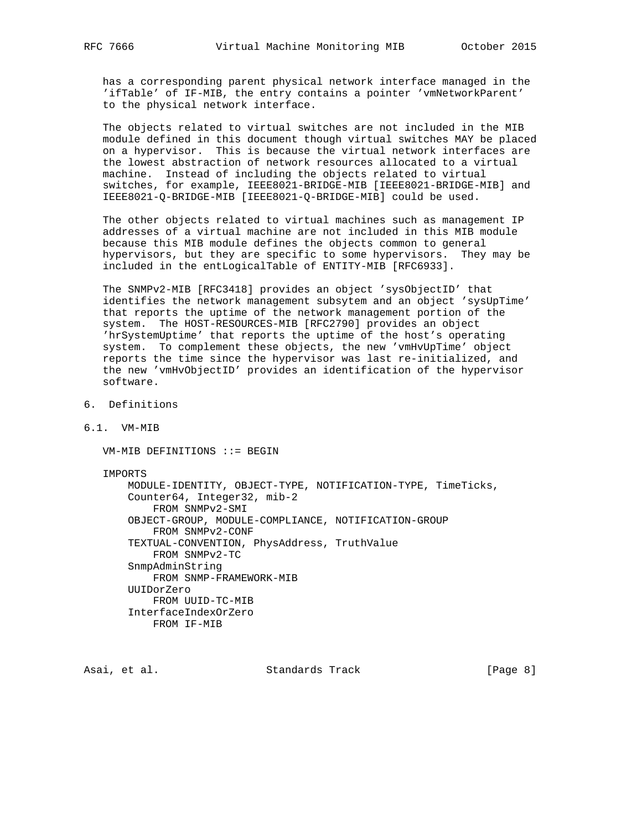has a corresponding parent physical network interface managed in the 'ifTable' of IF-MIB, the entry contains a pointer 'vmNetworkParent' to the physical network interface.

 The objects related to virtual switches are not included in the MIB module defined in this document though virtual switches MAY be placed on a hypervisor. This is because the virtual network interfaces are the lowest abstraction of network resources allocated to a virtual machine. Instead of including the objects related to virtual switches, for example, IEEE8021-BRIDGE-MIB [IEEE8021-BRIDGE-MIB] and IEEE8021-Q-BRIDGE-MIB [IEEE8021-Q-BRIDGE-MIB] could be used.

 The other objects related to virtual machines such as management IP addresses of a virtual machine are not included in this MIB module because this MIB module defines the objects common to general hypervisors, but they are specific to some hypervisors. They may be included in the entLogicalTable of ENTITY-MIB [RFC6933].

 The SNMPv2-MIB [RFC3418] provides an object 'sysObjectID' that identifies the network management subsytem and an object 'sysUpTime' that reports the uptime of the network management portion of the system. The HOST-RESOURCES-MIB [RFC2790] provides an object 'hrSystemUptime' that reports the uptime of the host's operating system. To complement these objects, the new 'vmHvUpTime' object reports the time since the hypervisor was last re-initialized, and the new 'vmHvObjectID' provides an identification of the hypervisor software.

- 6. Definitions
- 6.1. VM-MIB

VM-MIB DEFINITIONS ::= BEGIN

IMPORTS

 MODULE-IDENTITY, OBJECT-TYPE, NOTIFICATION-TYPE, TimeTicks, Counter64, Integer32, mib-2 FROM SNMPv2-SMI OBJECT-GROUP, MODULE-COMPLIANCE, NOTIFICATION-GROUP FROM SNMPv2-CONF TEXTUAL-CONVENTION, PhysAddress, TruthValue FROM SNMPv2-TC SnmpAdminString FROM SNMP-FRAMEWORK-MIB UUIDorZero FROM UUID-TC-MIB InterfaceIndexOrZero FROM IF-MIB

Asai, et al. Standards Track [Page 8]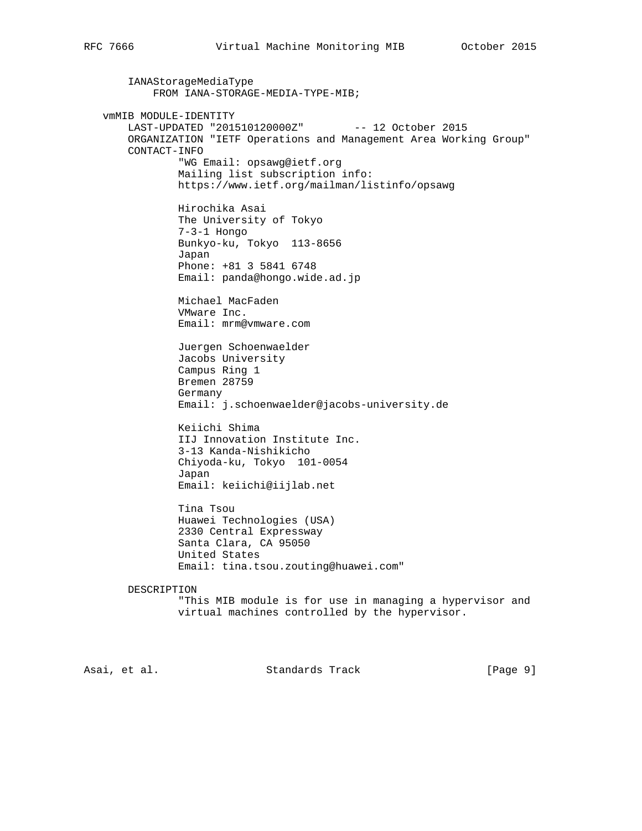IANAStorageMediaType FROM IANA-STORAGE-MEDIA-TYPE-MIB; vmMIB MODULE-IDENTITY LAST-UPDATED "201510120000Z" -- 12 October 2015 ORGANIZATION "IETF Operations and Management Area Working Group" CONTACT-INFO "WG Email: opsawg@ietf.org Mailing list subscription info: https://www.ietf.org/mailman/listinfo/opsawg Hirochika Asai The University of Tokyo 7-3-1 Hongo Bunkyo-ku, Tokyo 113-8656 Japan Phone: +81 3 5841 6748 Email: panda@hongo.wide.ad.jp Michael MacFaden VMware Inc. Email: mrm@vmware.com Juergen Schoenwaelder Jacobs University Campus Ring 1 Bremen 28759 Germany Email: j.schoenwaelder@jacobs-university.de Keiichi Shima IIJ Innovation Institute Inc. 3-13 Kanda-Nishikicho Chiyoda-ku, Tokyo 101-0054 Japan Email: keiichi@iijlab.net Tina Tsou Huawei Technologies (USA) 2330 Central Expressway Santa Clara, CA 95050 United States Email: tina.tsou.zouting@huawei.com" DESCRIPTION "This MIB module is for use in managing a hypervisor and virtual machines controlled by the hypervisor.

Asai, et al. Standards Track [Page 9]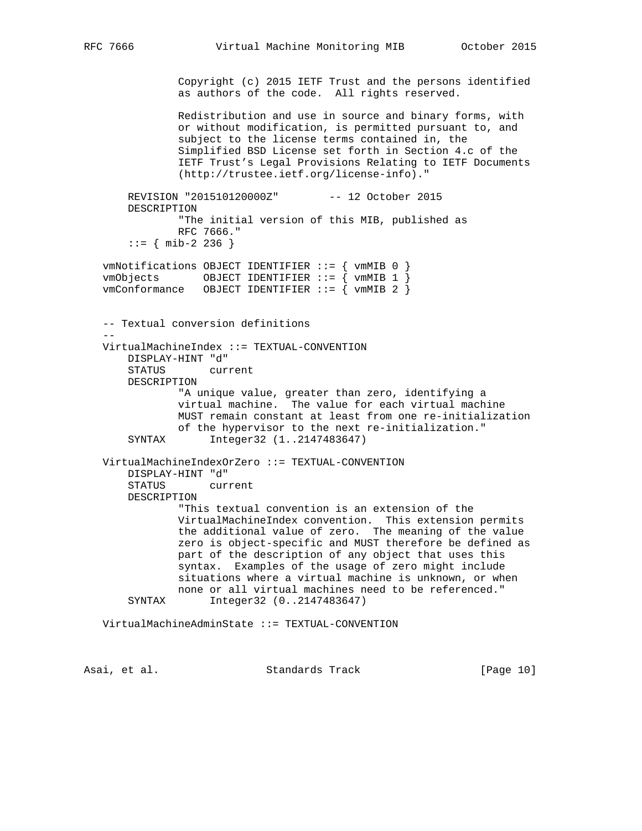Copyright (c) 2015 IETF Trust and the persons identified as authors of the code. All rights reserved. Redistribution and use in source and binary forms, with or without modification, is permitted pursuant to, and subject to the license terms contained in, the Simplified BSD License set forth in Section 4.c of the IETF Trust's Legal Provisions Relating to IETF Documents (http://trustee.ietf.org/license-info)." REVISION "201510120000Z" -- 12 October 2015 DESCRIPTION "The initial version of this MIB, published as RFC 7666."  $::=$  { mib-2 236 } vmNotifications OBJECT IDENTIFIER ::= { vmMIB 0 }  $vmObjects$  OBJECT IDENTIFIER ::= {  $vmMIB$  1 }  $vmConformance$  OBJECT IDENTIFIER ::=  $\hat{ }$  vmMIB 2  $\hat{ }$  -- Textual conversion definitions -- VirtualMachineIndex ::= TEXTUAL-CONVENTION DISPLAY-HINT "d" STATUS current DESCRIPTION "A unique value, greater than zero, identifying a virtual machine. The value for each virtual machine MUST remain constant at least from one re-initialization of the hypervisor to the next re-initialization." SYNTAX Integer32 (1..2147483647) VirtualMachineIndexOrZero ::= TEXTUAL-CONVENTION DISPLAY-HINT "d" STATUS current DESCRIPTION "This textual convention is an extension of the VirtualMachineIndex convention. This extension permits the additional value of zero. The meaning of the value zero is object-specific and MUST therefore be defined as part of the description of any object that uses this syntax. Examples of the usage of zero might include situations where a virtual machine is unknown, or when none or all virtual machines need to be referenced." SYNTAX Integer32 (0..2147483647) VirtualMachineAdminState ::= TEXTUAL-CONVENTION

Asai, et al. Standards Track [Page 10]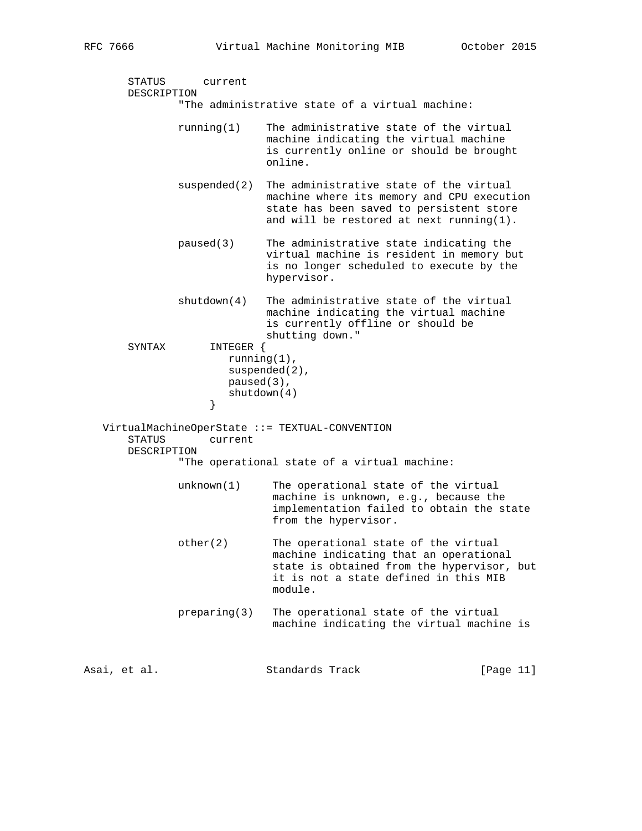```
 STATUS current
       DESCRIPTION
                "The administrative state of a virtual machine:
                running(1) The administrative state of the virtual
                             machine indicating the virtual machine
                             is currently online or should be brought
                             online.
                suspended(2) The administrative state of the virtual
                             machine where its memory and CPU execution
                             state has been saved to persistent store
                             and will be restored at next running(1).
                paused(3) The administrative state indicating the
                             virtual machine is resident in memory but
                             is no longer scheduled to execute by the
                             hypervisor.
               shutdown(4) The administrative state of the virtual
                             machine indicating the virtual machine
                             is currently offline or should be
                             shutting down."
       SYNTAX INTEGER {
                       running(1),
                      suspended(2),
                       paused(3),
                    shutdown(4)<br>}
 }
   VirtualMachineOperState ::= TEXTUAL-CONVENTION
        STATUS current
       DESCRIPTION
                "The operational state of a virtual machine:
              unknown(1) The operational state of the virtual
                              machine is unknown, e.g., because the
                               implementation failed to obtain the state
                              from the hypervisor.
                other(2) The operational state of the virtual
                              machine indicating that an operational
                              state is obtained from the hypervisor, but
                              it is not a state defined in this MIB
                              module.
               preparing(3) The operational state of the virtual
                              machine indicating the virtual machine is
Asai, et al.                   Standards Track               [Page 11]
```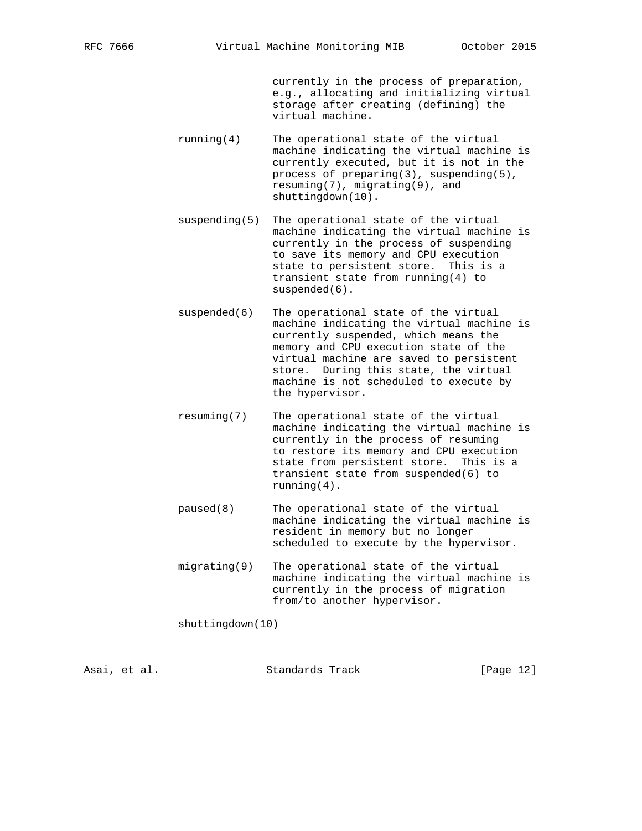currently in the process of preparation, e.g., allocating and initializing virtual storage after creating (defining) the virtual machine.

- running(4) The operational state of the virtual machine indicating the virtual machine is currently executed, but it is not in the process of preparing(3), suspending(5), resuming(7), migrating(9), and shuttingdown(10).
- suspending(5) The operational state of the virtual machine indicating the virtual machine is currently in the process of suspending to save its memory and CPU execution state to persistent store. This is a transient state from running(4) to suspended(6).
- suspended(6) The operational state of the virtual machine indicating the virtual machine is currently suspended, which means the memory and CPU execution state of the virtual machine are saved to persistent store. During this state, the virtual machine is not scheduled to execute by the hypervisor.
	- resuming(7) The operational state of the virtual machine indicating the virtual machine is currently in the process of resuming to restore its memory and CPU execution state from persistent store. This is a transient state from suspended(6) to running(4).
	- paused(8) The operational state of the virtual machine indicating the virtual machine is resident in memory but no longer scheduled to execute by the hypervisor.
	- migrating(9) The operational state of the virtual machine indicating the virtual machine is currently in the process of migration from/to another hypervisor.

shuttingdown(10)

Asai, et al. Standards Track [Page 12]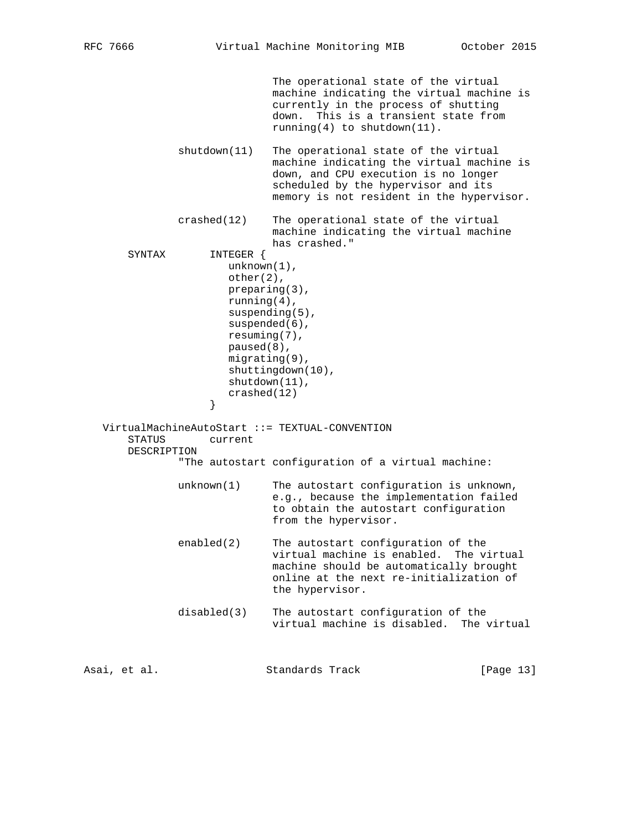The operational state of the virtual machine indicating the virtual machine is currently in the process of shutting down. This is a transient state from running(4) to shutdown(11). shutdown(11) The operational state of the virtual machine indicating the virtual machine is down, and CPU execution is no longer scheduled by the hypervisor and its memory is not resident in the hypervisor. crashed(12) The operational state of the virtual machine indicating the virtual machine has crashed." SYNTAX INTEGER { unknown(1), other(2), preparing(3), running(4), suspending(5), suspended(6), resuming(7), paused(8), migrating(9), shuttingdown(10), shutdown(11), crashed(12)  $\}$  } VirtualMachineAutoStart ::= TEXTUAL-CONVENTION STATUS current DESCRIPTION "The autostart configuration of a virtual machine: unknown(1) The autostart configuration is unknown, e.g., because the implementation failed to obtain the autostart configuration from the hypervisor. enabled(2) The autostart configuration of the virtual machine is enabled. The virtual machine should be automatically brought online at the next re-initialization of the hypervisor. disabled(3) The autostart configuration of the virtual machine is disabled. The virtual

Asai, et al. Standards Track [Page 13]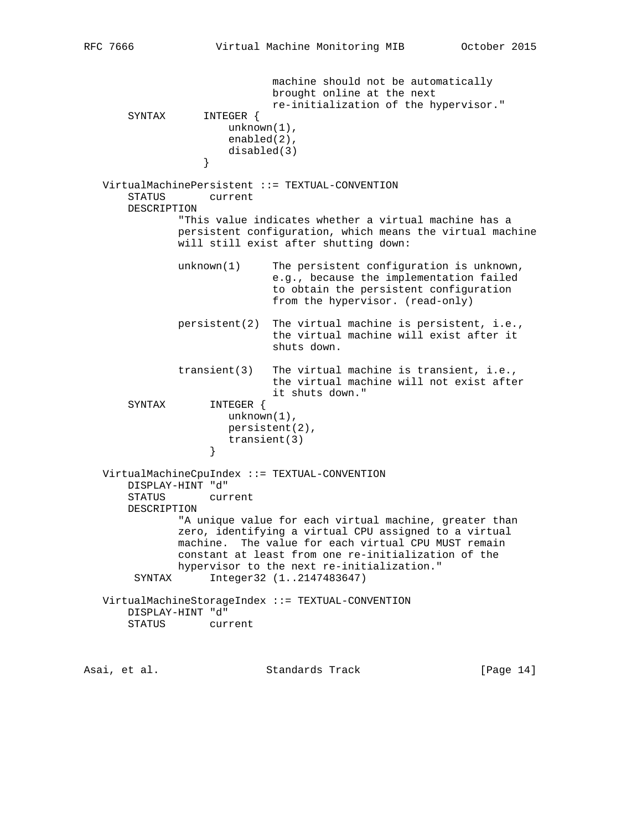machine should not be automatically brought online at the next re-initialization of the hypervisor." SYNTAX INTEGER { unknown(1), enabled(2), disabled(3)<br>} } VirtualMachinePersistent ::= TEXTUAL-CONVENTION STATUS current DESCRIPTION "This value indicates whether a virtual machine has a persistent configuration, which means the virtual machine will still exist after shutting down: unknown(1) The persistent configuration is unknown, e.g., because the implementation failed to obtain the persistent configuration from the hypervisor. (read-only) persistent(2) The virtual machine is persistent, i.e., the virtual machine will exist after it shuts down. transient(3) The virtual machine is transient, i.e., the virtual machine will not exist after it shuts down."<br>SYNTAX 1NTEGER { INTEGER { unknown(1), persistent(2), transient(3)<br>} } VirtualMachineCpuIndex ::= TEXTUAL-CONVENTION DISPLAY-HINT "d" current DESCRIPTION "A unique value for each virtual machine, greater than zero, identifying a virtual CPU assigned to a virtual machine. The value for each virtual CPU MUST remain constant at least from one re-initialization of the hypervisor to the next re-initialization." SYNTAX Integer32 (1..2147483647) VirtualMachineStorageIndex ::= TEXTUAL-CONVENTION DISPLAY-HINT "d" STATUS current

Asai, et al. Standards Track [Page 14]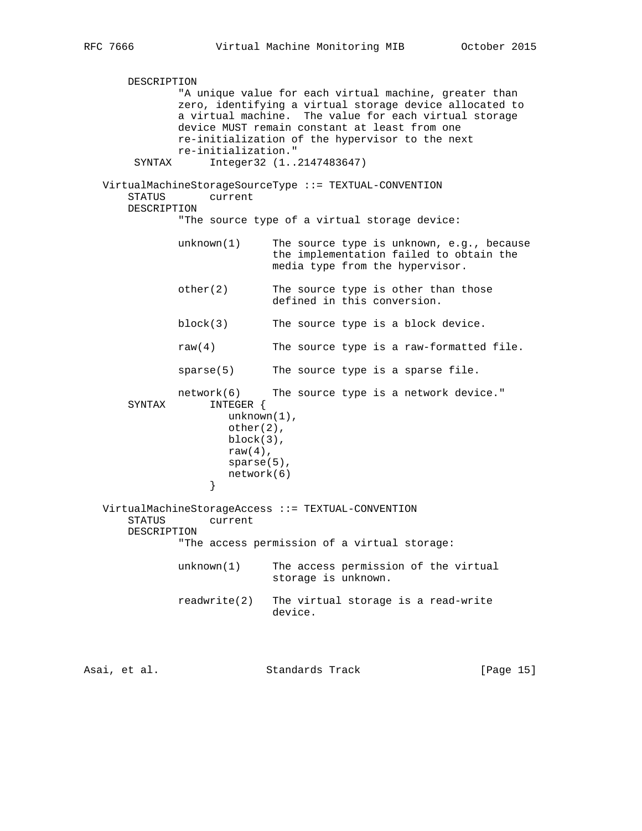DESCRIPTION "A unique value for each virtual machine, greater than zero, identifying a virtual storage device allocated to a virtual machine. The value for each virtual storage device MUST remain constant at least from one re-initialization of the hypervisor to the next re-initialization." SYNTAX Integer32 (1..2147483647) VirtualMachineStorageSourceType ::= TEXTUAL-CONVENTION STATUS current DESCRIPTION "The source type of a virtual storage device: unknown(1) The source type is unknown, e.g., because the implementation failed to obtain the media type from the hypervisor. other(2) The source type is other than those defined in this conversion. block(3) The source type is a block device. raw(4) The source type is a raw-formatted file. sparse(5) The source type is a sparse file.  $network(6)$  The source type is a network device." SYNTAX INTEGER { unknown(1), other(2), block(3), raw $(4)$ , sparse(5), network(6)<br>} } VirtualMachineStorageAccess ::= TEXTUAL-CONVENTION STATUS current DESCRIPTION "The access permission of a virtual storage: unknown(1) The access permission of the virtual storage is unknown. readwrite(2) The virtual storage is a read-write device.

Asai, et al. Standards Track [Page 15]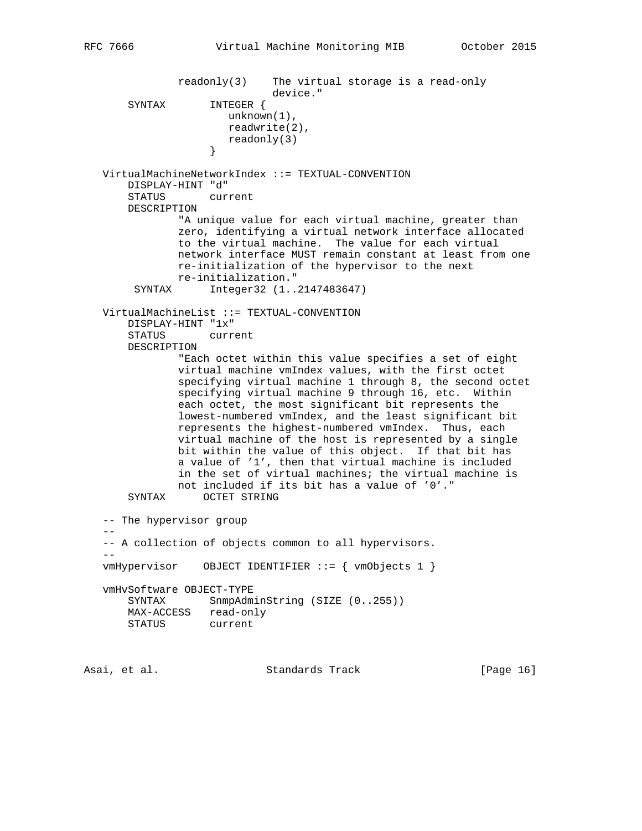readonly(3) The virtual storage is a read-only device." SYNTAX INTEGER { unknown(1), readwrite(2),  $readonly(3)$  } VirtualMachineNetworkIndex ::= TEXTUAL-CONVENTION DISPLAY-HINT "d" STATUS current DESCRIPTION "A unique value for each virtual machine, greater than zero, identifying a virtual network interface allocated to the virtual machine. The value for each virtual network interface MUST remain constant at least from one re-initialization of the hypervisor to the next re-initialization." SYNTAX Integer32 (1..2147483647) VirtualMachineList ::= TEXTUAL-CONVENTION DISPLAY-HINT "1x" STATUS current DESCRIPTION "Each octet within this value specifies a set of eight virtual machine vmIndex values, with the first octet specifying virtual machine 1 through 8, the second octet specifying virtual machine 9 through 16, etc. Within each octet, the most significant bit represents the lowest-numbered vmIndex, and the least significant bit represents the highest-numbered vmIndex. Thus, each virtual machine of the host is represented by a single bit within the value of this object. If that bit has a value of '1', then that virtual machine is included in the set of virtual machines; the virtual machine is not included if its bit has a value of '0'." SYNTAX OCTET STRING -- The hypervisor group -- -- A collection of objects common to all hypervisors.  $$  vmHypervisor OBJECT IDENTIFIER ::= { vmObjects 1 } vmHvSoftware OBJECT-TYPE SYNTAX SnmpAdminString (SIZE (0..255)) MAX-ACCESS read-only STATUS current

Asai, et al. Standards Track [Page 16]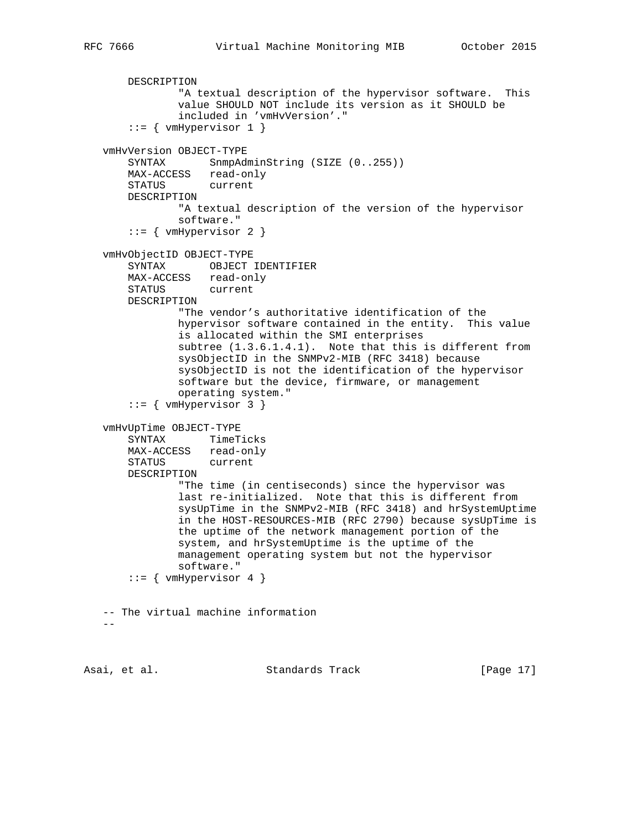```
 DESCRIPTION
             "A textual description of the hypervisor software. This
             value SHOULD NOT include its version as it SHOULD be
             included in 'vmHvVersion'."
    ::= { vmHypervisor 1 }
 vmHvVersion OBJECT-TYPE
   SYNTAX SnmpAdminString (SIZE (0..255))
    MAX-ACCESS read-only
    STATUS current
    DESCRIPTION
            "A textual description of the version of the hypervisor
            software."
    ::= { vmHypervisor 2 }
 vmHvObjectID OBJECT-TYPE
    SYNTAX OBJECT IDENTIFIER
    MAX-ACCESS read-only
    STATUS current
    DESCRIPTION
             "The vendor's authoritative identification of the
            hypervisor software contained in the entity. This value
            is allocated within the SMI enterprises
            subtree (1.3.6.1.4.1). Note that this is different from
            sysObjectID in the SNMPv2-MIB (RFC 3418) because
            sysObjectID is not the identification of the hypervisor
            software but the device, firmware, or management
            operating system."
     ::= { vmHypervisor 3 }
 vmHvUpTime OBJECT-TYPE
    SYNTAX TimeTicks
    MAX-ACCESS read-only
    STATUS current
    DESCRIPTION
            "The time (in centiseconds) since the hypervisor was
            last re-initialized. Note that this is different from
            sysUpTime in the SNMPv2-MIB (RFC 3418) and hrSystemUptime
             in the HOST-RESOURCES-MIB (RFC 2790) because sysUpTime is
            the uptime of the network management portion of the
            system, and hrSystemUptime is the uptime of the
            management operating system but not the hypervisor
            software."
     ::= \{ vmHypervisor 4 \} -- The virtual machine information
-
```
Asai, et al. Standards Track [Page 17]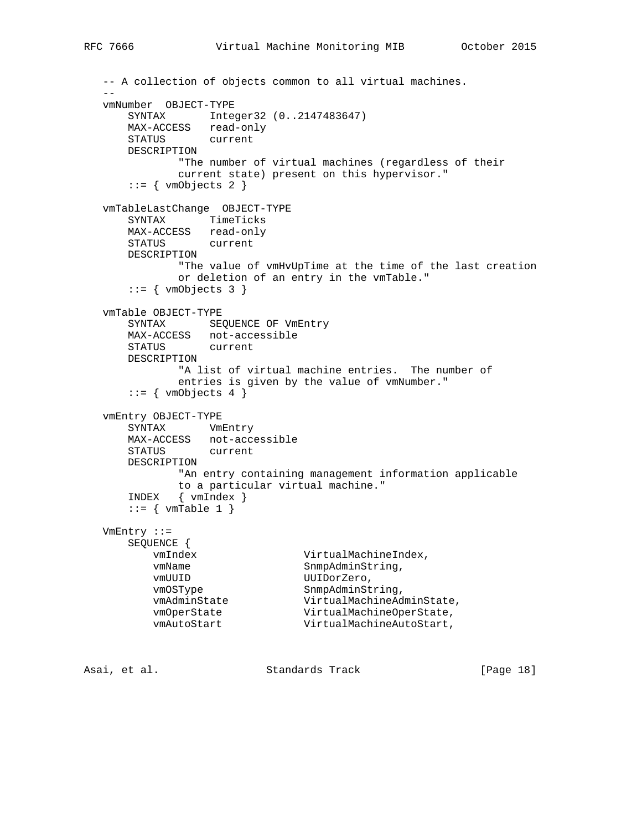```
 -- A collection of objects common to all virtual machines.
 --
   vmNumber OBJECT-TYPE
       SYNTAX Integer32 (0..2147483647)
       MAX-ACCESS read-only
       STATUS current
       DESCRIPTION
              "The number of virtual machines (regardless of their
              current state) present on this hypervisor."
      ::= { vmObjects 2 }
   vmTableLastChange OBJECT-TYPE
       SYNTAX TimeTicks
      MAX-ACCESS read-only
       STATUS current
       DESCRIPTION
              "The value of vmHvUpTime at the time of the last creation
              or deletion of an entry in the vmTable."
      ::= { vmObjects 3 }
   vmTable OBJECT-TYPE
      SYNTAX SEQUENCE OF VmEntry
       MAX-ACCESS not-accessible
       STATUS current
       DESCRIPTION
              "A list of virtual machine entries. The number of
              entries is given by the value of vmNumber."
      ::= { vmObjects 4 }
   vmEntry OBJECT-TYPE
       SYNTAX VmEntry
       MAX-ACCESS not-accessible
       STATUS current
       DESCRIPTION
              "An entry containing management information applicable
             to a particular virtual machine."
       INDEX { vmIndex }
      ::= { vmTable 1 }
   VmEntry ::=
       SEQUENCE {
         vmIndex VirtualMachineIndex,<br>vmName SnmpAdminString,
                             SnmpAdminString,
vmUUID UUIDorZero,
vmOSType SnmpAdminString,
 vmAdminState VirtualMachineAdminState,
vmOperState VirtualMachineOperState,
 vmAutoStart VirtualMachineAutoStart,
Asai, et al. Standards Track [Page 18]
```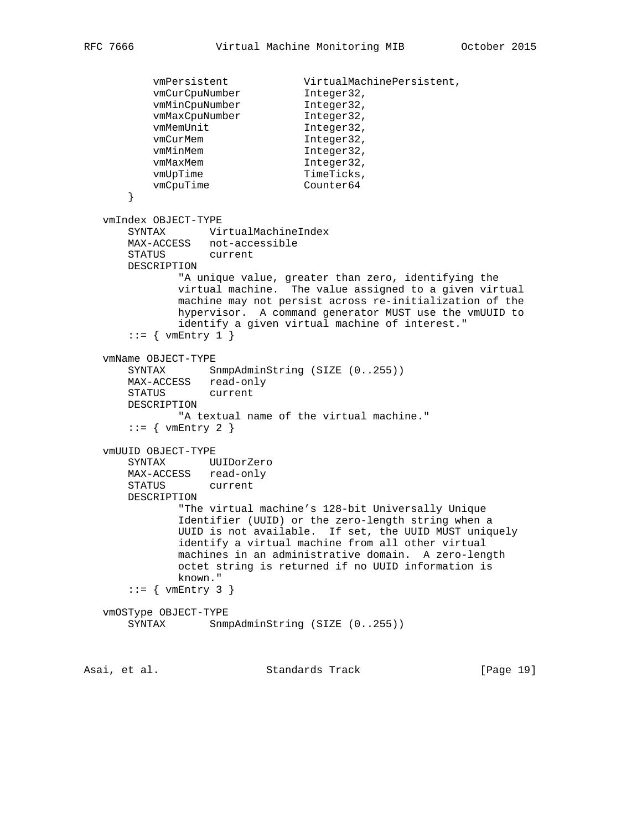```
vmPersistent VirtualMachinePersistent,<br>
vmCurCpuNumber Integer32,<br>
vmMinCpuNumber Integer32,
vmCurCpuNumber 1nteger32,
vmMinCpuNumber 1nteger32,
vmMaxCpuNumber 1nteger32,
         vmMemUnit Integer32,<br>vmCurMem Integer32,
vmCurMem Integer32,
vmMinMem 1nteger32,
vmMaxMem Integer32,
vmUpTime TimeTicks,
vmCpuTime Counter64
       }
   vmIndex OBJECT-TYPE
       SYNTAX VirtualMachineIndex
      MAX-ACCESS not-accessible
       STATUS current
      DESCRIPTION
              "A unique value, greater than zero, identifying the
              virtual machine. The value assigned to a given virtual
              machine may not persist across re-initialization of the
              hypervisor. A command generator MUST use the vmUUID to
              identify a given virtual machine of interest."
      ::= { vmEntry 1 }
   vmName OBJECT-TYPE
      SYNTAX SnmpAdminString (SIZE (0..255))
 MAX-ACCESS read-only
 STATUS current
      DESCRIPTION
              "A textual name of the virtual machine."
      ::= { vmEntry 2 }
   vmUUID OBJECT-TYPE
       SYNTAX UUIDorZero
      MAX-ACCESS read-only
      STATUS current
      DESCRIPTION
              "The virtual machine's 128-bit Universally Unique
              Identifier (UUID) or the zero-length string when a
              UUID is not available. If set, the UUID MUST uniquely
              identify a virtual machine from all other virtual
              machines in an administrative domain. A zero-length
              octet string is returned if no UUID information is
              known."
      ::= { vmEntry 3 }
   vmOSType OBJECT-TYPE
     SYNTAX SnmpAdminString (SIZE (0..255))
```
Asai, et al. Standards Track [Page 19]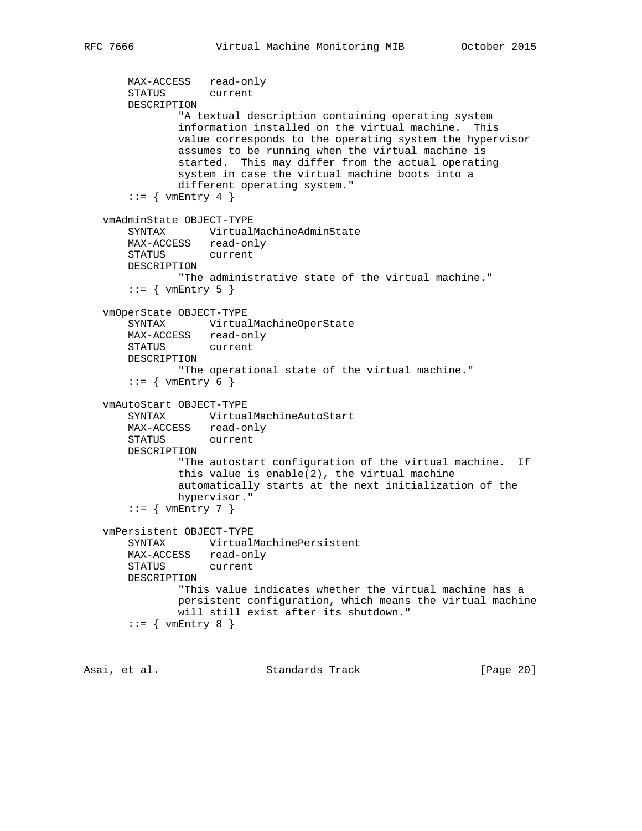```
 MAX-ACCESS read-only
    STATUS current
    DESCRIPTION
             "A textual description containing operating system
             information installed on the virtual machine. This
            value corresponds to the operating system the hypervisor
            assumes to be running when the virtual machine is
            started. This may differ from the actual operating
            system in case the virtual machine boots into a
            different operating system."
    ::= { vmEntry 4 }
 vmAdminState OBJECT-TYPE
    SYNTAX VirtualMachineAdminState
    MAX-ACCESS read-only
    STATUS current
    DESCRIPTION
            "The administrative state of the virtual machine."
    ::= { vmEntry 5 }
 vmOperState OBJECT-TYPE
    SYNTAX VirtualMachineOperState
    MAX-ACCESS read-only
    STATUS current
    DESCRIPTION
            "The operational state of the virtual machine."
    ::= { vmEntry 6 }
 vmAutoStart OBJECT-TYPE
    SYNTAX VirtualMachineAutoStart
    MAX-ACCESS read-only
    STATUS current
    DESCRIPTION
            "The autostart configuration of the virtual machine. If
            this value is enable(2), the virtual machine
            automatically starts at the next initialization of the
            hypervisor."
    ::= { vmEntry 7 }
 vmPersistent OBJECT-TYPE
    SYNTAX VirtualMachinePersistent
   MAX-ACCESS read-only<br>STATUS current
   STATUS
    DESCRIPTION
            "This value indicates whether the virtual machine has a
            persistent configuration, which means the virtual machine
            will still exist after its shutdown."
    ::= { vmEntry 8 }
```
Asai, et al. Standards Track [Page 20]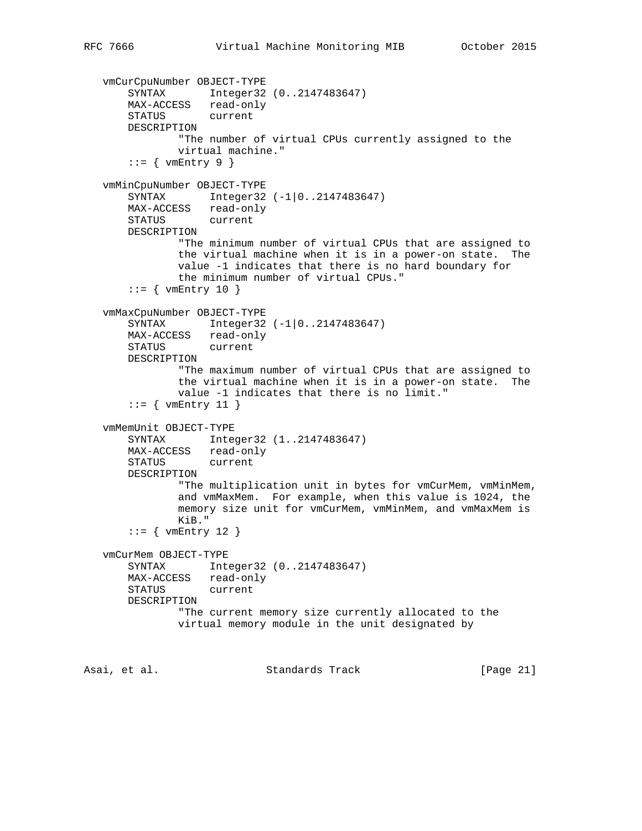```
 vmCurCpuNumber OBJECT-TYPE
    SYNTAX Integer32 (0..2147483647)
    MAX-ACCESS read-only
    STATUS current
    DESCRIPTION
            "The number of virtual CPUs currently assigned to the
            virtual machine."
    ::= { vmEntry 9 }
 vmMinCpuNumber OBJECT-TYPE
   SYNTAX Integer32 (-1|0..2147483647)
    MAX-ACCESS read-only
    STATUS current
    DESCRIPTION
            "The minimum number of virtual CPUs that are assigned to
            the virtual machine when it is in a power-on state. The
            value -1 indicates that there is no hard boundary for
            the minimum number of virtual CPUs."
    ::= { vmEntry 10 }
 vmMaxCpuNumber OBJECT-TYPE
   SYNTAX Integer32 (-1|0..2147483647)
    MAX-ACCESS read-only
    STATUS current
    DESCRIPTION
            "The maximum number of virtual CPUs that are assigned to
            the virtual machine when it is in a power-on state. The
            value -1 indicates that there is no limit."
    ::= { vmEntry 11 }
 vmMemUnit OBJECT-TYPE
    SYNTAX Integer32 (1..2147483647)
    MAX-ACCESS read-only
    STATUS current
    DESCRIPTION
            "The multiplication unit in bytes for vmCurMem, vmMinMem,
            and vmMaxMem. For example, when this value is 1024, the
            memory size unit for vmCurMem, vmMinMem, and vmMaxMem is
            KiB."
    ::= { vmEntry 12 }
 vmCurMem OBJECT-TYPE
    SYNTAX Integer32 (0..2147483647)
    MAX-ACCESS read-only
    STATUS current
    DESCRIPTION
            "The current memory size currently allocated to the
            virtual memory module in the unit designated by
```
Asai, et al. Standards Track [Page 21]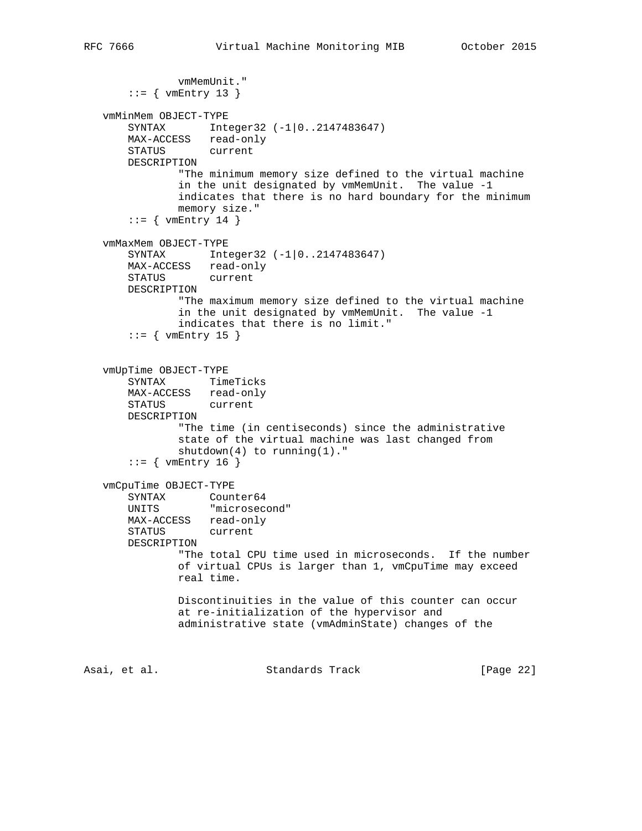```
 vmMemUnit."
       ::= { vmEntry 13 }
    vmMinMem OBJECT-TYPE
      SYNTAX Integer32 (-1|0..2147483647)
       MAX-ACCESS read-only
       STATUS current
       DESCRIPTION
               "The minimum memory size defined to the virtual machine
               in the unit designated by vmMemUnit. The value -1
               indicates that there is no hard boundary for the minimum
               memory size."
       ::= { vmEntry 14 }
    vmMaxMem OBJECT-TYPE
      SYNTAX Integer32 (-1|0..2147483647)
      MAX-ACCESS read-only<br>STATUS current
      STATUS
       DESCRIPTION
               "The maximum memory size defined to the virtual machine
               in the unit designated by vmMemUnit. The value -1
               indicates that there is no limit."
       ::= { vmEntry 15 }
    vmUpTime OBJECT-TYPE
 SYNTAX TimeTicks
 MAX-ACCESS read-only
       STATUS current
       DESCRIPTION
               "The time (in centiseconds) since the administrative
               state of the virtual machine was last changed from
              shutdown(4) to running(1)."
       ::= { vmEntry 16 }
    vmCpuTime OBJECT-TYPE
SYNTAX Counter64
 UNITS "microsecond"
       MAX-ACCESS read-only
       STATUS current
       DESCRIPTION
               "The total CPU time used in microseconds. If the number
               of virtual CPUs is larger than 1, vmCpuTime may exceed
               real time.
               Discontinuities in the value of this counter can occur
               at re-initialization of the hypervisor and
               administrative state (vmAdminState) changes of the
Asai, et al.                   Standards Track               [Page 22]
```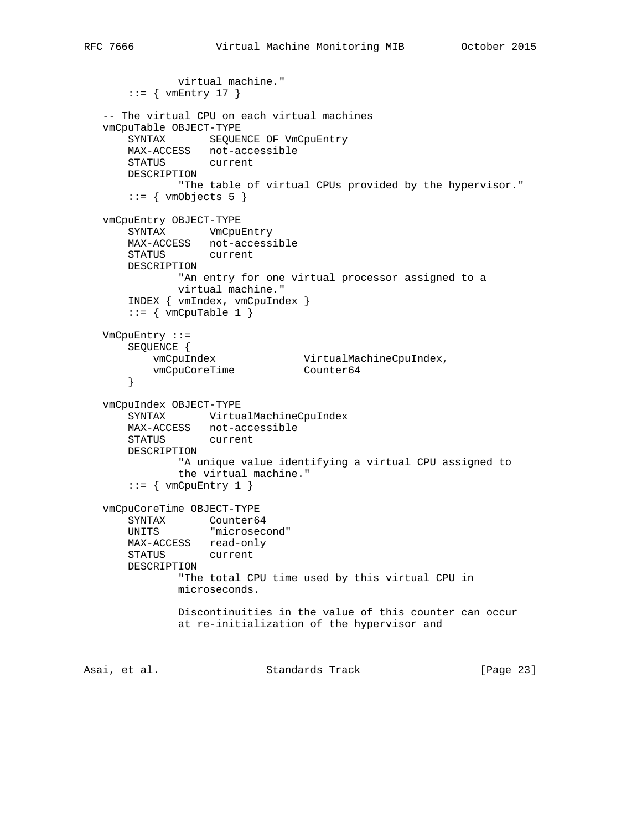```
 virtual machine."
      ::= { vmEntry 17 }
   -- The virtual CPU on each virtual machines
   vmCpuTable OBJECT-TYPE
      SYNTAX SEQUENCE OF VmCpuEntry
       MAX-ACCESS not-accessible
       STATUS current
       DESCRIPTION
               "The table of virtual CPUs provided by the hypervisor."
      ::= { vmObjects 5 }
   vmCpuEntry OBJECT-TYPE
       SYNTAX VmCpuEntry
       MAX-ACCESS not-accessible
       STATUS current
       DESCRIPTION
              "An entry for one virtual processor assigned to a
              virtual machine."
       INDEX { vmIndex, vmCpuIndex }
      ::= { vmCpuTable 1 }
   VmCpuEntry ::=
       SEQUENCE {
 vmCpuIndex VirtualMachineCpuIndex,
vmCpuCoreTime Counter64
       }
   vmCpuIndex OBJECT-TYPE
       SYNTAX VirtualMachineCpuIndex
       MAX-ACCESS not-accessible
       STATUS current
       DESCRIPTION
               "A unique value identifying a virtual CPU assigned to
               the virtual machine."
      ::= { vmCpuEntry 1 }
   vmCpuCoreTime OBJECT-TYPE
 SYNTAX Counter64
 UNITS "microsecond"
       MAX-ACCESS read-only
       STATUS current
       DESCRIPTION
               "The total CPU time used by this virtual CPU in
               microseconds.
               Discontinuities in the value of this counter can occur
               at re-initialization of the hypervisor and
Asai, et al.                     Standards Track                 [Page 23]
```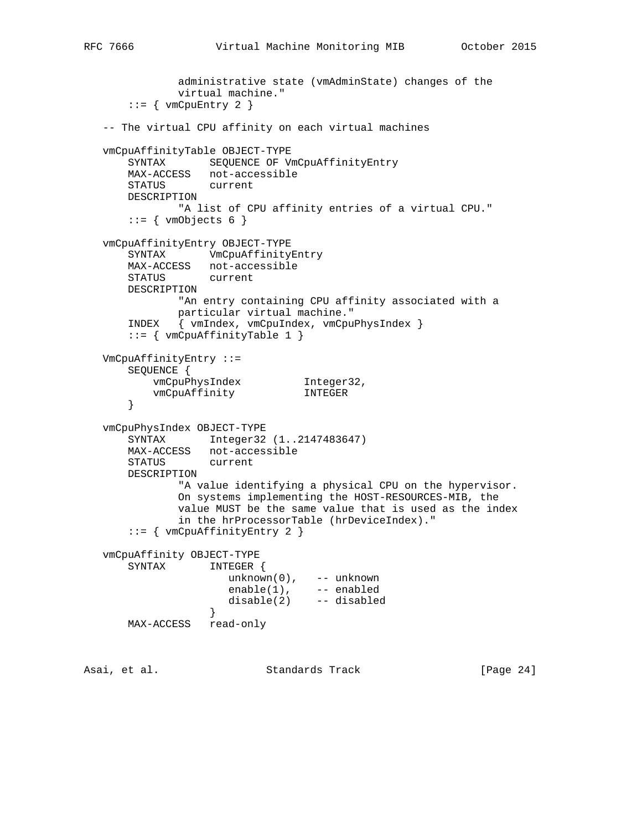```
 administrative state (vmAdminState) changes of the
              virtual machine."
      ::= { vmCpuEntry 2 }
   -- The virtual CPU affinity on each virtual machines
   vmCpuAffinityTable OBJECT-TYPE
       SYNTAX SEQUENCE OF VmCpuAffinityEntry
       MAX-ACCESS not-accessible
       STATUS current
       DESCRIPTION
             "A list of CPU affinity entries of a virtual CPU."
      ::= { vmObjects 6 }
   vmCpuAffinityEntry OBJECT-TYPE
       SYNTAX VmCpuAffinityEntry
      MAX-ACCESS not-accessible<br>STATUS current
      STATUS
       DESCRIPTION
              "An entry containing CPU affinity associated with a
              particular virtual machine."
       INDEX { vmIndex, vmCpuIndex, vmCpuPhysIndex }
       ::= { vmCpuAffinityTable 1 }
   VmCpuAffinityEntry ::=
       SEQUENCE {
vmCpuPhysIndex 1nteger32,
 vmCpuAffinity INTEGER
       }
   vmCpuPhysIndex OBJECT-TYPE
       SYNTAX Integer32 (1..2147483647)
       MAX-ACCESS not-accessible
       STATUS current
       DESCRIPTION
              "A value identifying a physical CPU on the hypervisor.
              On systems implementing the HOST-RESOURCES-MIB, the
              value MUST be the same value that is used as the index
              in the hrProcessorTable (hrDeviceIndex)."
       ::= { vmCpuAffinityEntry 2 }
   vmCpuAffinity OBJECT-TYPE
       SYNTAX INTEGER {
                     unknown(0), -- unknown
enable(1), -- enabled
 disable(2) -- disabled
 }
       MAX-ACCESS read-only
```
Asai, et al. Standards Track [Page 24]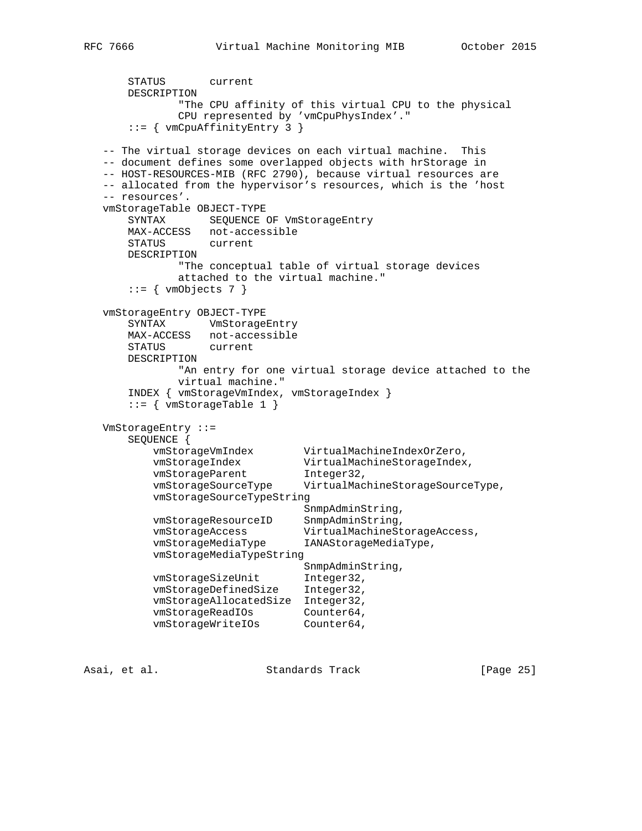```
 STATUS current
       DESCRIPTION
              "The CPU affinity of this virtual CPU to the physical
              CPU represented by 'vmCpuPhysIndex'."
       ::= { vmCpuAffinityEntry 3 }
   -- The virtual storage devices on each virtual machine. This
   -- document defines some overlapped objects with hrStorage in
   -- HOST-RESOURCES-MIB (RFC 2790), because virtual resources are
   -- allocated from the hypervisor's resources, which is the 'host
   -- resources'.
   vmStorageTable OBJECT-TYPE
      SYNTAX SEQUENCE OF VmStorageEntry
      MAX-ACCESS not-accessible
      STATUS current
      DESCRIPTION
              "The conceptual table of virtual storage devices
              attached to the virtual machine."
      ::= { vmObjects 7 }
   vmStorageEntry OBJECT-TYPE
       SYNTAX VmStorageEntry
      MAX-ACCESS not-accessible
      STATUS current
      DESCRIPTION
              "An entry for one virtual storage device attached to the
              virtual machine."
       INDEX { vmStorageVmIndex, vmStorageIndex }
      ::= { vmStorageTable 1 }
   VmStorageEntry ::=
       SEQUENCE {
          vmStorageVmIndex VirtualMachineIndexOrZero,
 vmStorageIndex VirtualMachineStorageIndex,
vmStorageParent Integer32,
 vmStorageSourceType VirtualMachineStorageSourceType,
          vmStorageSourceTypeString
                              SnmpAdminString,
 vmStorageResourceID SnmpAdminString,
 vmStorageAccess VirtualMachineStorageAccess,
 vmStorageMediaType IANAStorageMediaType,
          vmStorageMediaTypeString
                               SnmpAdminString,
vmStorageSizeUnit Integer32,
 vmStorageDefinedSize Integer32,
          vmStorageAllocatedSize Integer32,
vmStorageReadIOs Counter64,
vmStorageWriteIOs Counter64,
```
Asai, et al. Standards Track [Page 25]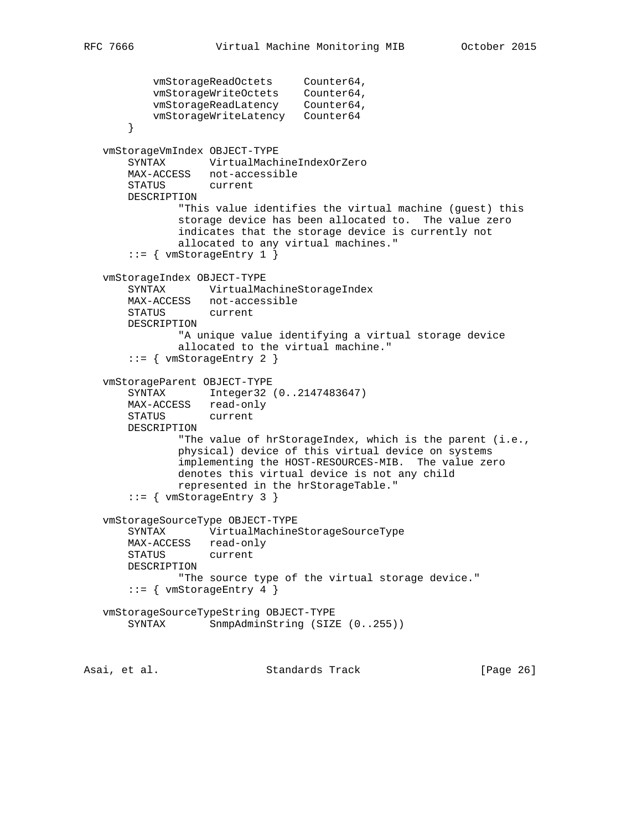```
vmStorageReadOctets Counter64,
 vmStorageWriteOctets Counter64,
 vmStorageReadLatency Counter64,
           vmStorageWriteLatency Counter64
        }
    vmStorageVmIndex OBJECT-TYPE
       SYNTAX VirtualMachineIndexOrZero
       MAX-ACCESS not-accessible
       STATUS current
       DESCRIPTION
               "This value identifies the virtual machine (guest) this
               storage device has been allocated to. The value zero
               indicates that the storage device is currently not
               allocated to any virtual machines."
        ::= { vmStorageEntry 1 }
    vmStorageIndex OBJECT-TYPE
       SYNTAX VirtualMachineStorageIndex
       MAX-ACCESS not-accessible
       STATUS current
       DESCRIPTION
               "A unique value identifying a virtual storage device
               allocated to the virtual machine."
        ::= { vmStorageEntry 2 }
    vmStorageParent OBJECT-TYPE
       SYNTAX Integer32 (0..2147483647)
       MAX-ACCESS read-only
       STATUS current
       DESCRIPTION
               "The value of hrStorageIndex, which is the parent (i.e.,
               physical) device of this virtual device on systems
               implementing the HOST-RESOURCES-MIB. The value zero
               denotes this virtual device is not any child
               represented in the hrStorageTable."
        ::= { vmStorageEntry 3 }
    vmStorageSourceType OBJECT-TYPE
       SYNTAX VirtualMachineStorageSourceType
       MAX-ACCESS read-only
       STATUS current
       DESCRIPTION
               "The source type of the virtual storage device."
      ::= { vmStorageEntry 4 }
   vmStorageSourceTypeString OBJECT-TYPE
      SYNTAX SnmpAdminString (SIZE (0..255))
Asai, et al.                   Standards Track                 [Page 26]
```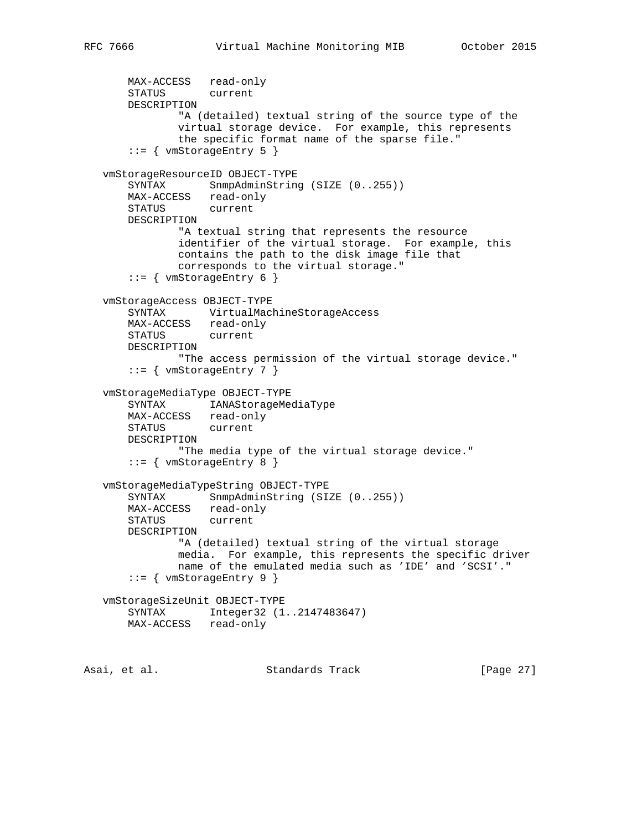```
 MAX-ACCESS read-only
       STATUS current
       DESCRIPTION
               "A (detailed) textual string of the source type of the
               virtual storage device. For example, this represents
               the specific format name of the sparse file."
       ::= { vmStorageEntry 5 }
   vmStorageResourceID OBJECT-TYPE
      SYNTAX SnmpAdminString (SIZE (0..255))
       MAX-ACCESS read-only
       STATUS current
       DESCRIPTION
               "A textual string that represents the resource
               identifier of the virtual storage. For example, this
               contains the path to the disk image file that
               corresponds to the virtual storage."
      ::= { vmStorageEntry 6 }
   vmStorageAccess OBJECT-TYPE
       SYNTAX VirtualMachineStorageAccess
       MAX-ACCESS read-only
       STATUS current
       DESCRIPTION
               "The access permission of the virtual storage device."
      ::= { vmStorageEntry 7 }
   vmStorageMediaType OBJECT-TYPE
 SYNTAX IANAStorageMediaType
 MAX-ACCESS read-only
       STATUS current
       DESCRIPTION
               "The media type of the virtual storage device."
       ::= { vmStorageEntry 8 }
   vmStorageMediaTypeString OBJECT-TYPE
      SYNTAX SnmpAdminString (SIZE (0..255))
       MAX-ACCESS read-only
       STATUS current
       DESCRIPTION
               "A (detailed) textual string of the virtual storage
               media. For example, this represents the specific driver
               name of the emulated media such as 'IDE' and 'SCSI'."
       ::= { vmStorageEntry 9 }
   vmStorageSizeUnit OBJECT-TYPE
       SYNTAX Integer32 (1..2147483647)
       MAX-ACCESS read-only
```
Asai, et al. Standards Track [Page 27]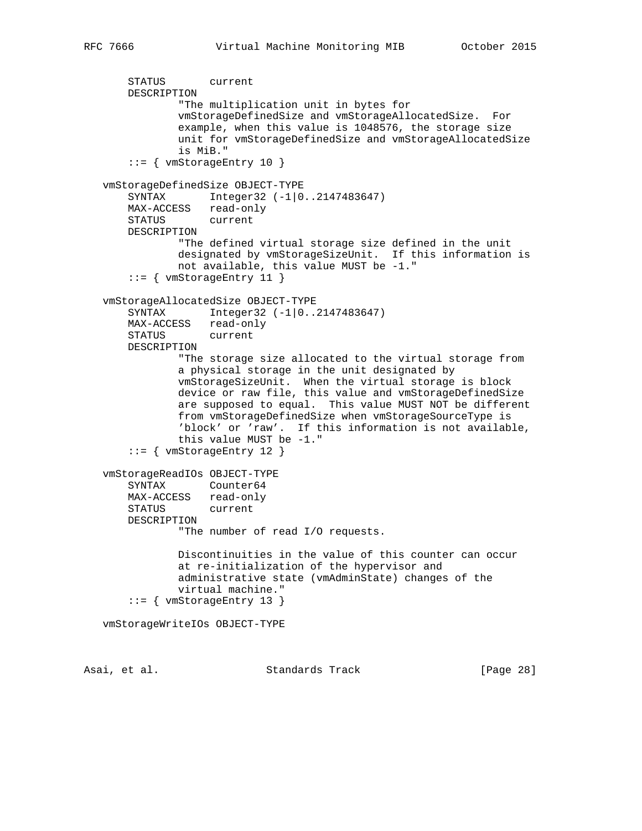```
 STATUS current
     DESCRIPTION
             "The multiplication unit in bytes for
             vmStorageDefinedSize and vmStorageAllocatedSize. For
             example, when this value is 1048576, the storage size
             unit for vmStorageDefinedSize and vmStorageAllocatedSize
             is MiB."
     ::= { vmStorageEntry 10 }
 vmStorageDefinedSize OBJECT-TYPE
    SYNTAX Integer32 (-1|0..2147483647)
   MAX-ACCESS read-only<br>STATUS current
   STATUS
    DESCRIPTION
             "The defined virtual storage size defined in the unit
             designated by vmStorageSizeUnit. If this information is
             not available, this value MUST be -1."
     ::= { vmStorageEntry 11 }
 vmStorageAllocatedSize OBJECT-TYPE
     SYNTAX Integer32 (-1|0..2147483647)
    MAX-ACCESS read-only
    STATUS current
    DESCRIPTION
             "The storage size allocated to the virtual storage from
             a physical storage in the unit designated by
             vmStorageSizeUnit. When the virtual storage is block
             device or raw file, this value and vmStorageDefinedSize
             are supposed to equal. This value MUST NOT be different
             from vmStorageDefinedSize when vmStorageSourceType is
             'block' or 'raw'. If this information is not available,
             this value MUST be -1."
     ::= { vmStorageEntry 12 }
 vmStorageReadIOs OBJECT-TYPE
    SYNTAX Counter64
    MAX-ACCESS read-only
     STATUS current
    DESCRIPTION
             "The number of read I/O requests.
             Discontinuities in the value of this counter can occur
             at re-initialization of the hypervisor and
             administrative state (vmAdminState) changes of the
             virtual machine."
     ::= { vmStorageEntry 13 }
 vmStorageWriteIOs OBJECT-TYPE
```
Asai, et al. Standards Track [Page 28]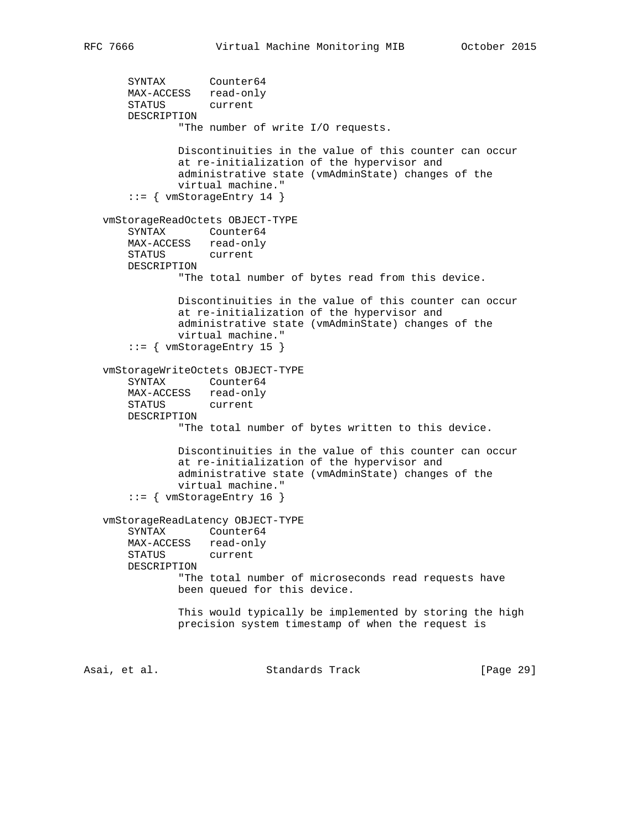```
 SYNTAX Counter64
 MAX-ACCESS read-only
 STATUS current
       DESCRIPTION
               "The number of write I/O requests.
               Discontinuities in the value of this counter can occur
               at re-initialization of the hypervisor and
               administrative state (vmAdminState) changes of the
               virtual machine."
        ::= { vmStorageEntry 14 }
    vmStorageReadOctets OBJECT-TYPE
       SYNTAX Counter64
      MAX-ACCESS read-only<br>STATUS current
      STATUS
       DESCRIPTION
               "The total number of bytes read from this device.
               Discontinuities in the value of this counter can occur
               at re-initialization of the hypervisor and
               administrative state (vmAdminState) changes of the
               virtual machine."
        ::= { vmStorageEntry 15 }
    vmStorageWriteOctets OBJECT-TYPE
 SYNTAX Counter64
 MAX-ACCESS read-only
       STATUS current
       DESCRIPTION
               "The total number of bytes written to this device.
               Discontinuities in the value of this counter can occur
               at re-initialization of the hypervisor and
               administrative state (vmAdminState) changes of the
               virtual machine."
        ::= { vmStorageEntry 16 }
    vmStorageReadLatency OBJECT-TYPE
       SYNTAX Counter64
       MAX-ACCESS read-only
       STATUS current
       DESCRIPTION
               "The total number of microseconds read requests have
               been queued for this device.
               This would typically be implemented by storing the high
               precision system timestamp of when the request is
Asai, et al. Standards Track [Page 29]
```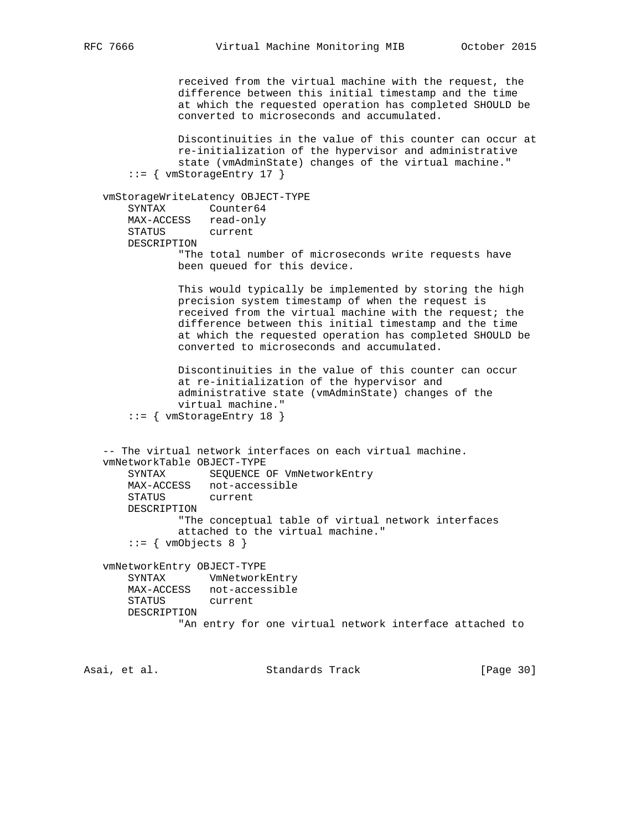```
 received from the virtual machine with the request, the
            difference between this initial timestamp and the time
            at which the requested operation has completed SHOULD be
             converted to microseconds and accumulated.
            Discontinuities in the value of this counter can occur at
            re-initialization of the hypervisor and administrative
            state (vmAdminState) changes of the virtual machine."
     ::= { vmStorageEntry 17 }
 vmStorageWriteLatency OBJECT-TYPE
    SYNTAX Counter64
    MAX-ACCESS read-only
    STATUS current
    DESCRIPTION
            "The total number of microseconds write requests have
            been queued for this device.
            This would typically be implemented by storing the high
            precision system timestamp of when the request is
            received from the virtual machine with the request; the
            difference between this initial timestamp and the time
            at which the requested operation has completed SHOULD be
            converted to microseconds and accumulated.
            Discontinuities in the value of this counter can occur
            at re-initialization of the hypervisor and
            administrative state (vmAdminState) changes of the
            virtual machine."
     ::= { vmStorageEntry 18 }
 -- The virtual network interfaces on each virtual machine.
 vmNetworkTable OBJECT-TYPE
    SYNTAX SEQUENCE OF VmNetworkEntry
    MAX-ACCESS not-accessible
    STATUS current
    DESCRIPTION
            "The conceptual table of virtual network interfaces
            attached to the virtual machine."
     ::= \{ vmObjects 8 \} vmNetworkEntry OBJECT-TYPE
    SYNTAX VmNetworkEntry
    MAX-ACCESS not-accessible
    STATUS current
    DESCRIPTION
             "An entry for one virtual network interface attached to
```
Asai, et al. Standards Track [Page 30]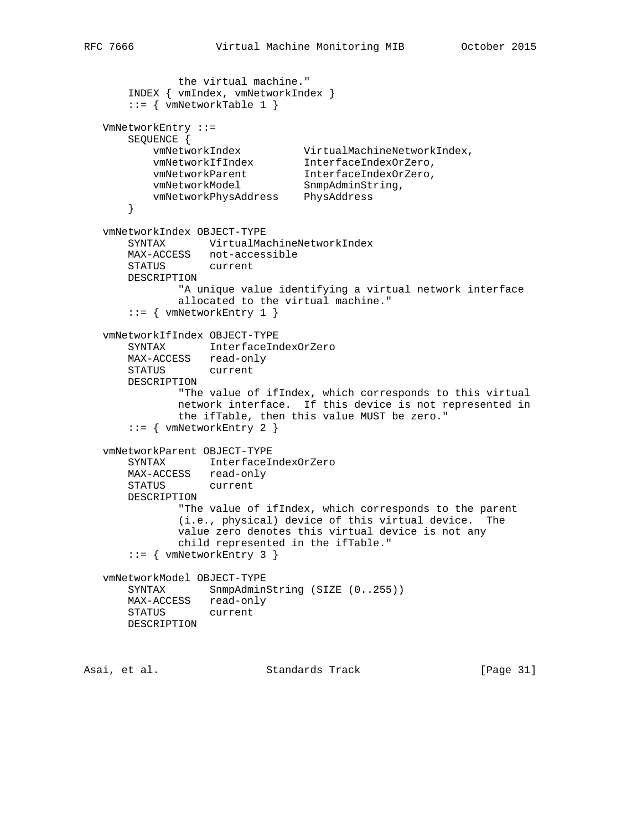```
 the virtual machine."
       INDEX { vmIndex, vmNetworkIndex }
       ::= { vmNetworkTable 1 }
   VmNetworkEntry ::=
       SEQUENCE {
 vmNetworkIndex VirtualMachineNetworkIndex,
 vmNetworkIfIndex InterfaceIndexOrZero,
 vmNetworkParent InterfaceIndexOrZero,
vmNetworkModel SnmpAdminString,
 vmNetworkPhysAddress PhysAddress
       }
   vmNetworkIndex OBJECT-TYPE
       SYNTAX VirtualMachineNetworkIndex
       MAX-ACCESS not-accessible
       STATUS current
       DESCRIPTION
              "A unique value identifying a virtual network interface
               allocated to the virtual machine."
      ::= { vmNetworkEntry 1 }
   vmNetworkIfIndex OBJECT-TYPE
       SYNTAX InterfaceIndexOrZero
       MAX-ACCESS read-only
       STATUS current
       DESCRIPTION
               "The value of ifIndex, which corresponds to this virtual
               network interface. If this device is not represented in
              the ifTable, then this value MUST be zero."
      ::= { vmNetworkEntry 2 }
   vmNetworkParent OBJECT-TYPE
       SYNTAX InterfaceIndexOrZero
       MAX-ACCESS read-only
       STATUS current
       DESCRIPTION
              "The value of ifIndex, which corresponds to the parent
               (i.e., physical) device of this virtual device. The
              value zero denotes this virtual device is not any
              child represented in the ifTable."
       ::= { vmNetworkEntry 3 }
   vmNetworkModel OBJECT-TYPE
      SYNTAX SnmpAdminString (SIZE (0..255))
       MAX-ACCESS read-only
       STATUS current
       DESCRIPTION
Asai, et al.                     Standards Track                 [Page 31]
```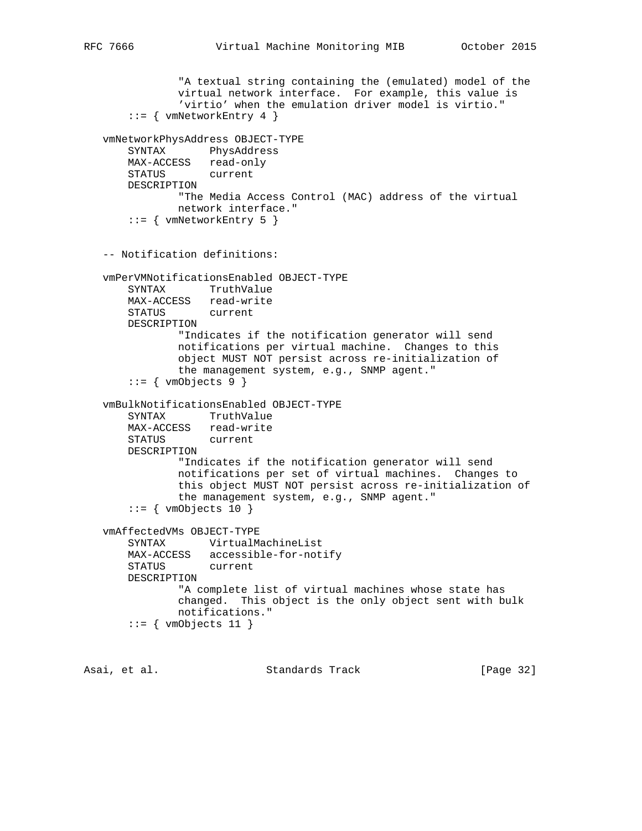```
 "A textual string containing the (emulated) model of the
            virtual network interface. For example, this value is
             'virtio' when the emulation driver model is virtio."
    ::= { vmNetworkEntry 4 }
 vmNetworkPhysAddress OBJECT-TYPE
    SYNTAX PhysAddress
    MAX-ACCESS read-only
    STATUS current
    DESCRIPTION
            "The Media Access Control (MAC) address of the virtual
            network interface."
     ::= { vmNetworkEntry 5 }
 -- Notification definitions:
 vmPerVMNotificationsEnabled OBJECT-TYPE
    SYNTAX TruthValue
    MAX-ACCESS read-write
    STATUS current
    DESCRIPTION
             "Indicates if the notification generator will send
            notifications per virtual machine. Changes to this
            object MUST NOT persist across re-initialization of
            the management system, e.g., SNMP agent."
    ::= { vmObjects 9 }
 vmBulkNotificationsEnabled OBJECT-TYPE
    SYNTAX TruthValue
    MAX-ACCESS read-write
    STATUS current
    DESCRIPTION
            "Indicates if the notification generator will send
            notifications per set of virtual machines. Changes to
            this object MUST NOT persist across re-initialization of
            the management system, e.g., SNMP agent."
    ::= { vmObjects 10 }
 vmAffectedVMs OBJECT-TYPE
    SYNTAX VirtualMachineList
    MAX-ACCESS accessible-for-notify
    STATUS current
    DESCRIPTION
             "A complete list of virtual machines whose state has
            changed. This object is the only object sent with bulk
            notifications."
    ::= { vmObjects 11 }
```
Asai, et al. Standards Track [Page 32]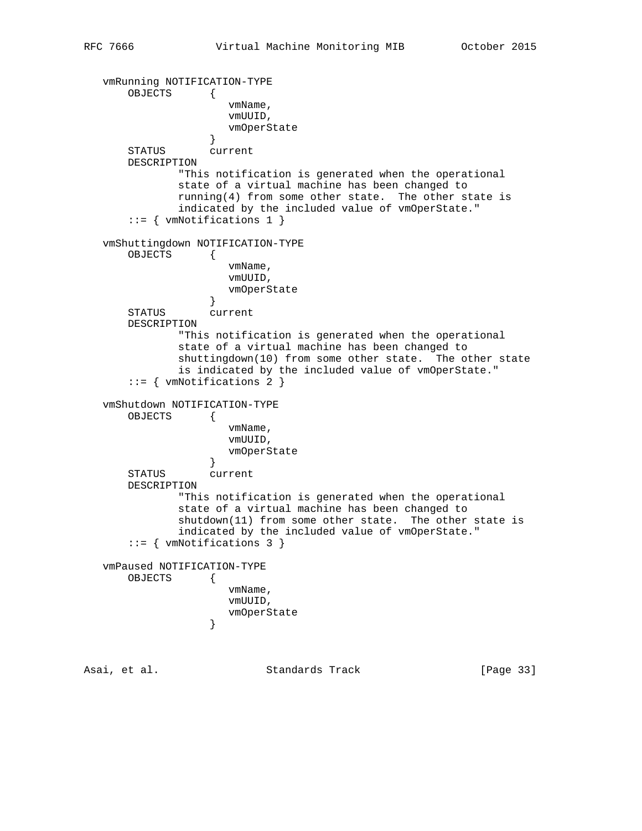```
 vmRunning NOTIFICATION-TYPE
       OBJECTS {
                      vmName,
                      vmUUID,
                   vmOperState}
 }
       STATUS current
       DESCRIPTION
               "This notification is generated when the operational
               state of a virtual machine has been changed to
               running(4) from some other state. The other state is
               indicated by the included value of vmOperState."
       ::= { vmNotifications 1 }
   vmShuttingdown NOTIFICATION-TYPE
       OBJECTS {
                      vmName,
                      vmUUID,
                      vmOperState
 }
       STATUS current
       DESCRIPTION
               "This notification is generated when the operational
               state of a virtual machine has been changed to
               shuttingdown(10) from some other state. The other state
               is indicated by the included value of vmOperState."
       ::= { vmNotifications 2 }
   vmShutdown NOTIFICATION-TYPE
       OBJECTS {
                      vmName,
                      vmUUID,
                      vmOperState
 }
       STATUS current
       DESCRIPTION
              "This notification is generated when the operational
               state of a virtual machine has been changed to
               shutdown(11) from some other state. The other state is
               indicated by the included value of vmOperState."
       ::= { vmNotifications 3 }
   vmPaused NOTIFICATION-TYPE
       OBJECTS {
                      vmName,
                      vmUUID,
                   vmOperState}
 }
Asai, et al.                   Standards Track               [Page 33]
```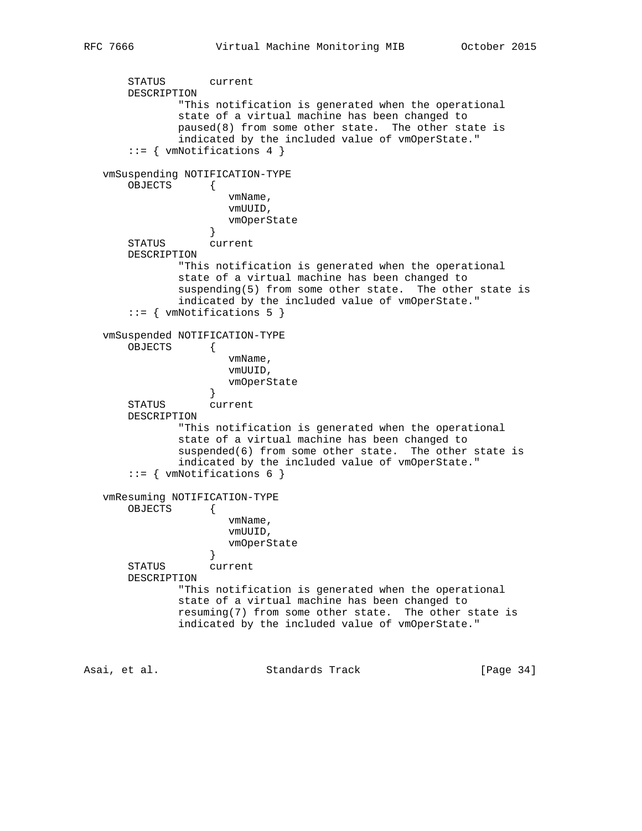```
 STATUS current
       DESCRIPTION
               "This notification is generated when the operational
               state of a virtual machine has been changed to
               paused(8) from some other state. The other state is
               indicated by the included value of vmOperState."
       ::= { vmNotifications 4 }
   vmSuspending NOTIFICATION-TYPE
       OBJECTS {
                      vmName,
                      vmUUID,
                   vmOperState}
 }
       STATUS current
       DESCRIPTION
               "This notification is generated when the operational
               state of a virtual machine has been changed to
               suspending(5) from some other state. The other state is
               indicated by the included value of vmOperState."
       ::= { vmNotifications 5 }
   vmSuspended NOTIFICATION-TYPE
       OBJECTS {
                      vmName,
                      vmUUID,
                      vmOperState
 }
       STATUS current
       DESCRIPTION
               "This notification is generated when the operational
               state of a virtual machine has been changed to
              suspended(6) from some other state. The other state is
               indicated by the included value of vmOperState."
       ::= { vmNotifications 6 }
   vmResuming NOTIFICATION-TYPE
       OBJECTS {
                      vmName,
                      vmUUID,
                   vmOperState}
 }
       STATUS current
       DESCRIPTION
               "This notification is generated when the operational
               state of a virtual machine has been changed to
               resuming(7) from some other state. The other state is
               indicated by the included value of vmOperState."
```
Asai, et al. Standards Track [Page 34]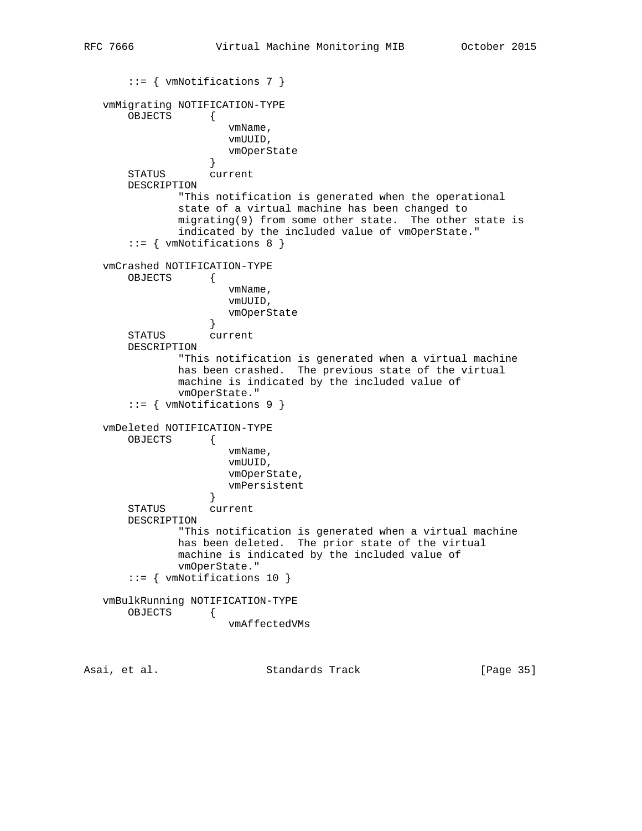```
 ::= { vmNotifications 7 }
   vmMigrating NOTIFICATION-TYPE
       OBJECTS {
                      vmName,
                      vmUUID,
                   vmOperState
 }
       STATUS current
       DESCRIPTION
               "This notification is generated when the operational
               state of a virtual machine has been changed to
               migrating(9) from some other state. The other state is
               indicated by the included value of vmOperState."
       ::= { vmNotifications 8 }
   vmCrashed NOTIFICATION-TYPE
       OBJECTS {
                      vmName,
                      vmUUID,
                  vmOperState}
 }
       STATUS current
       DESCRIPTION
               "This notification is generated when a virtual machine
               has been crashed. The previous state of the virtual
              machine is indicated by the included value of
               vmOperState."
       ::= { vmNotifications 9 }
   vmDeleted NOTIFICATION-TYPE
       OBJECTS {
                      vmName,
                      vmUUID,
                      vmOperState,
                   vmPersistent
 }
       STATUS current
       DESCRIPTION
               "This notification is generated when a virtual machine
              has been deleted. The prior state of the virtual
              machine is indicated by the included value of
              vmOperState."
       ::= { vmNotifications 10 }
   vmBulkRunning NOTIFICATION-TYPE
       OBJECTS {
                      vmAffectedVMs
```
Asai, et al. Standards Track [Page 35]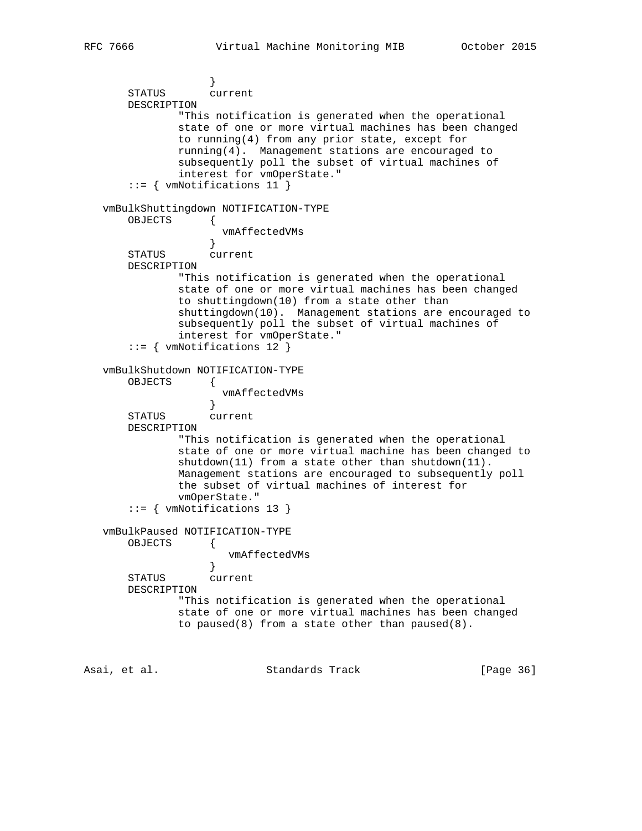```
 }
       STATUS current
       DESCRIPTION
               "This notification is generated when the operational
               state of one or more virtual machines has been changed
               to running(4) from any prior state, except for
               running(4). Management stations are encouraged to
               subsequently poll the subset of virtual machines of
               interest for vmOperState."
       ::= { vmNotifications 11 }
   vmBulkShuttingdown NOTIFICATION-TYPE
       OBJECTS {
                  vmAffectedVMs<br>}
 }
       STATUS current
       DESCRIPTION
               "This notification is generated when the operational
               state of one or more virtual machines has been changed
               to shuttingdown(10) from a state other than
               shuttingdown(10). Management stations are encouraged to
               subsequently poll the subset of virtual machines of
               interest for vmOperState."
       ::= { vmNotifications 12 }
   vmBulkShutdown NOTIFICATION-TYPE
       OBJECTS {
                     vmAffectedVMs
 }
       STATUS current
       DESCRIPTION
               "This notification is generated when the operational
               state of one or more virtual machine has been changed to
               shutdown(11) from a state other than shutdown(11).
               Management stations are encouraged to subsequently poll
               the subset of virtual machines of interest for
               vmOperState."
       ::= { vmNotifications 13 }
   vmBulkPaused NOTIFICATION-TYPE
       OBJECTS {
                      vmAffectedVMs
 }
       STATUS current
       DESCRIPTION
               "This notification is generated when the operational
               state of one or more virtual machines has been changed
              to paused(8) from a state other than paused(8).
```
Asai, et al. Standards Track [Page 36]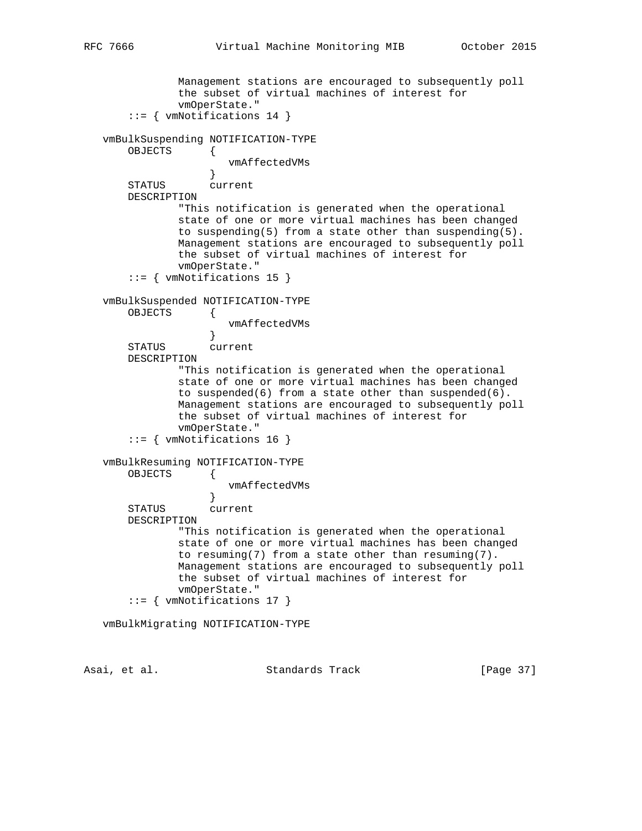```
 Management stations are encouraged to subsequently poll
               the subset of virtual machines of interest for
               vmOperState."
       ::= { vmNotifications 14 }
   vmBulkSuspending NOTIFICATION-TYPE
       OBJECTS {
                       vmAffectedVMs
 }
       STATUS current
       DESCRIPTION
               "This notification is generated when the operational
               state of one or more virtual machines has been changed
               to suspending(5) from a state other than suspending(5).
               Management stations are encouraged to subsequently poll
               the subset of virtual machines of interest for
               vmOperState."
       ::= { vmNotifications 15 }
   vmBulkSuspended NOTIFICATION-TYPE
       OBJECTS {
                      vmAffectedVMs
 }
       STATUS current
       DESCRIPTION
               "This notification is generated when the operational
               state of one or more virtual machines has been changed
               to suspended(6) from a state other than suspended(6).
               Management stations are encouraged to subsequently poll
               the subset of virtual machines of interest for
               vmOperState."
       ::= { vmNotifications 16 }
   vmBulkResuming NOTIFICATION-TYPE
       OBJECTS {
                    vmAffectedVMs
 }
       STATUS current
       DESCRIPTION
               "This notification is generated when the operational
               state of one or more virtual machines has been changed
               to resuming(7) from a state other than resuming(7).
               Management stations are encouraged to subsequently poll
               the subset of virtual machines of interest for
               vmOperState."
       ::= { vmNotifications 17 }
   vmBulkMigrating NOTIFICATION-TYPE
```
Asai, et al. Standards Track [Page 37]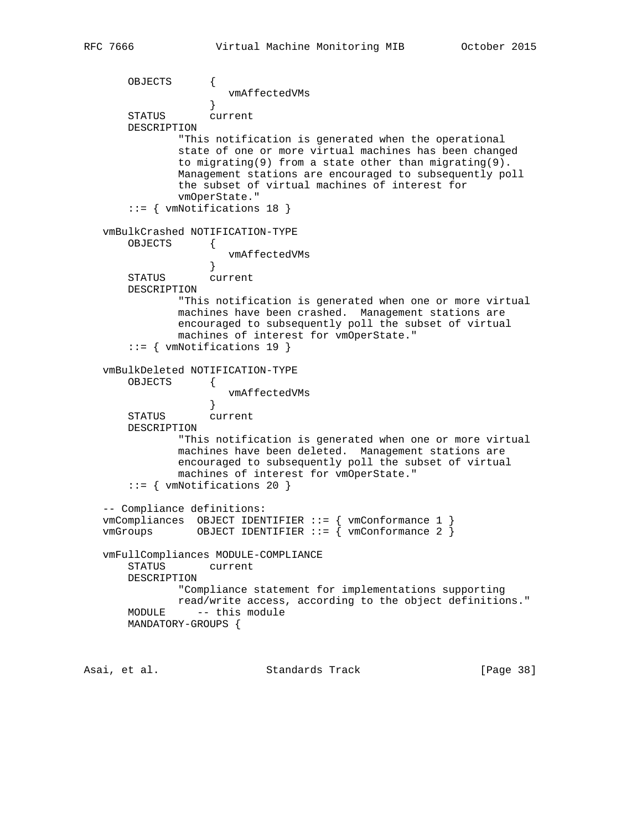```
 OBJECTS {
                   vmAffectedVMs
 }
       STATUS current
       DESCRIPTION
               "This notification is generated when the operational
               state of one or more virtual machines has been changed
               to migrating(9) from a state other than migrating(9).
               Management stations are encouraged to subsequently poll
               the subset of virtual machines of interest for
              vmOperState."
       ::= { vmNotifications 18 }
   vmBulkCrashed NOTIFICATION-TYPE
       OBJECTS {
                  vmAffectedVMs<br>}
 }
       STATUS current
       DESCRIPTION
              "This notification is generated when one or more virtual
               machines have been crashed. Management stations are
               encouraged to subsequently poll the subset of virtual
              machines of interest for vmOperState."
       ::= { vmNotifications 19 }
   vmBulkDeleted NOTIFICATION-TYPE
       OBJECTS {
                      vmAffectedVMs
 }
 STATUS current
       DESCRIPTION
              "This notification is generated when one or more virtual
               machines have been deleted. Management stations are
               encouraged to subsequently poll the subset of virtual
              machines of interest for vmOperState."
       ::= { vmNotifications 20 }
   -- Compliance definitions:
   vmCompliances OBJECT IDENTIFIER ::= { vmConformance 1 }
  vmGroups OBJECT IDENTIFIER ::= { vmConformance 2 }
   vmFullCompliances MODULE-COMPLIANCE
       STATUS current
       DESCRIPTION
              "Compliance statement for implementations supporting
              read/write access, according to the object definitions."
       MODULE -- this module
       MANDATORY-GROUPS {
```
Asai, et al. Standards Track [Page 38]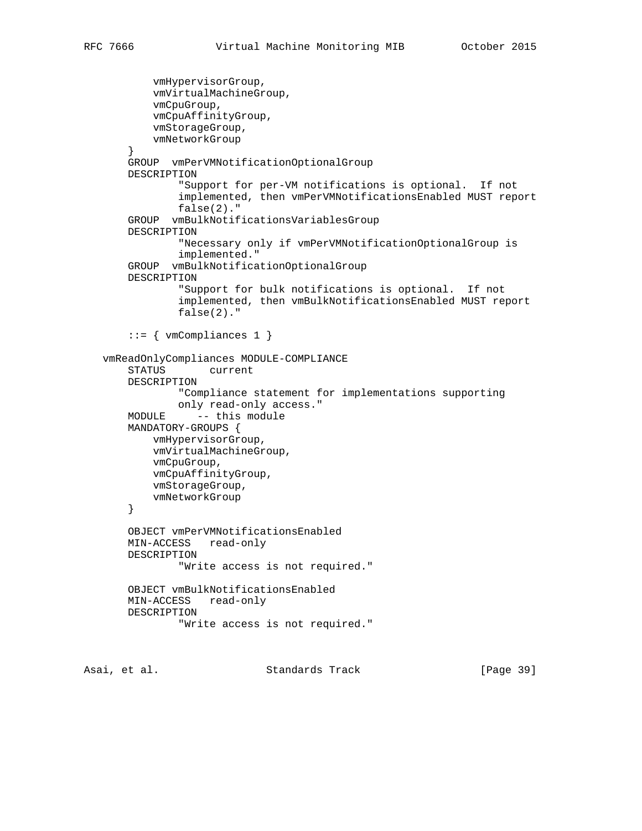```
 vmHypervisorGroup,
         vmVirtualMachineGroup,
         vmCpuGroup,
         vmCpuAffinityGroup,
         vmStorageGroup,
         vmNetworkGroup
     }
     GROUP vmPerVMNotificationOptionalGroup
     DESCRIPTION
             "Support for per-VM notifications is optional. If not
             implemented, then vmPerVMNotificationsEnabled MUST report
             false(2)."
     GROUP vmBulkNotificationsVariablesGroup
     DESCRIPTION
             "Necessary only if vmPerVMNotificationOptionalGroup is
             implemented."
     GROUP vmBulkNotificationOptionalGroup
     DESCRIPTION
             "Support for bulk notifications is optional. If not
             implemented, then vmBulkNotificationsEnabled MUST report
             false(2)."
    ::= { vmCompliance 1 }
 vmReadOnlyCompliances MODULE-COMPLIANCE
     STATUS current
    DESCRIPTION
             "Compliance statement for implementations supporting
             only read-only access."
    MODULE -- this module
     MANDATORY-GROUPS {
         vmHypervisorGroup,
         vmVirtualMachineGroup,
         vmCpuGroup,
         vmCpuAffinityGroup,
         vmStorageGroup,
         vmNetworkGroup
     }
     OBJECT vmPerVMNotificationsEnabled
     MIN-ACCESS read-only
    DESCRIPTION
            "Write access is not required."
     OBJECT vmBulkNotificationsEnabled
     MIN-ACCESS read-only
     DESCRIPTION
             "Write access is not required."
```
Asai, et al. Standards Track [Page 39]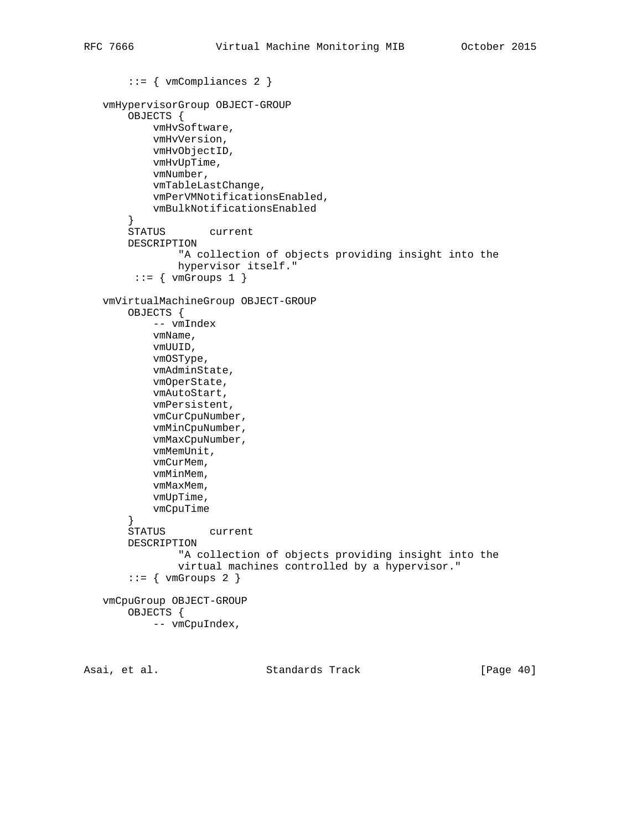```
 ::= { vmCompliances 2 }
 vmHypervisorGroup OBJECT-GROUP
     OBJECTS {
         vmHvSoftware,
         vmHvVersion,
         vmHvObjectID,
         vmHvUpTime,
         vmNumber,
         vmTableLastChange,
         vmPerVMNotificationsEnabled,
         vmBulkNotificationsEnabled
     }
     STATUS current
     DESCRIPTION
             "A collection of objects providing insight into the
             hypervisor itself."
     ::= { vmGroups 1 }
 vmVirtualMachineGroup OBJECT-GROUP
     OBJECTS {
         -- vmIndex
         vmName,
         vmUUID,
         vmOSType,
         vmAdminState,
         vmOperState,
         vmAutoStart,
         vmPersistent,
         vmCurCpuNumber,
         vmMinCpuNumber,
         vmMaxCpuNumber,
         vmMemUnit,
         vmCurMem,
         vmMinMem,
         vmMaxMem,
         vmUpTime,
         vmCpuTime
     }
     STATUS current
     DESCRIPTION
             "A collection of objects providing insight into the
             virtual machines controlled by a hypervisor."
    ::= { vmGroups 2 }
 vmCpuGroup OBJECT-GROUP
     OBJECTS {
         -- vmCpuIndex,
```
Asai, et al. Standards Track [Page 40]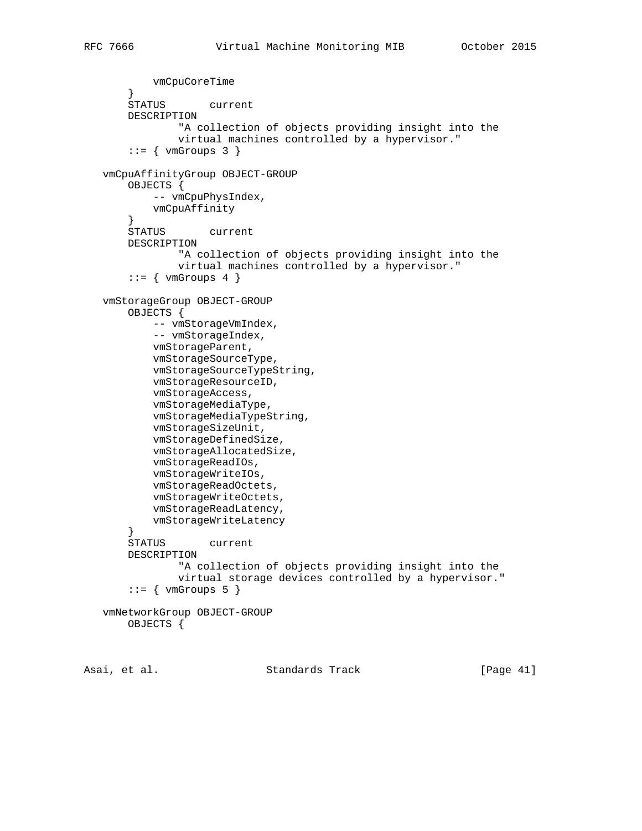```
 vmCpuCoreTime
 }
        STATUS current
        DESCRIPTION
                "A collection of objects providing insight into the
                virtual machines controlled by a hypervisor."
       ::= { vmGroups 3 }
   vmCpuAffinityGroup OBJECT-GROUP
       OBJECTS {
           -- vmCpuPhysIndex,
           vmCpuAffinity
        }
        STATUS current
       DESCRIPTION
                "A collection of objects providing insight into the
                virtual machines controlled by a hypervisor."
       ::= { vmGroups 4 }
   vmStorageGroup OBJECT-GROUP
       OBJECTS {
          -- vmStorageVmIndex,
           -- vmStorageIndex,
           vmStorageParent,
           vmStorageSourceType,
            vmStorageSourceTypeString,
           vmStorageResourceID,
           vmStorageAccess,
           vmStorageMediaType,
           vmStorageMediaTypeString,
           vmStorageSizeUnit,
           vmStorageDefinedSize,
           vmStorageAllocatedSize,
           vmStorageReadIOs,
           vmStorageWriteIOs,
           vmStorageReadOctets,
           vmStorageWriteOctets,
           vmStorageReadLatency,
           vmStorageWriteLatency
        }
        STATUS current
       DESCRIPTION
                "A collection of objects providing insight into the
                virtual storage devices controlled by a hypervisor."
       ::= { vmGroups 5 }
   vmNetworkGroup OBJECT-GROUP
       OBJECTS {
```
Asai, et al. Standards Track [Page 41]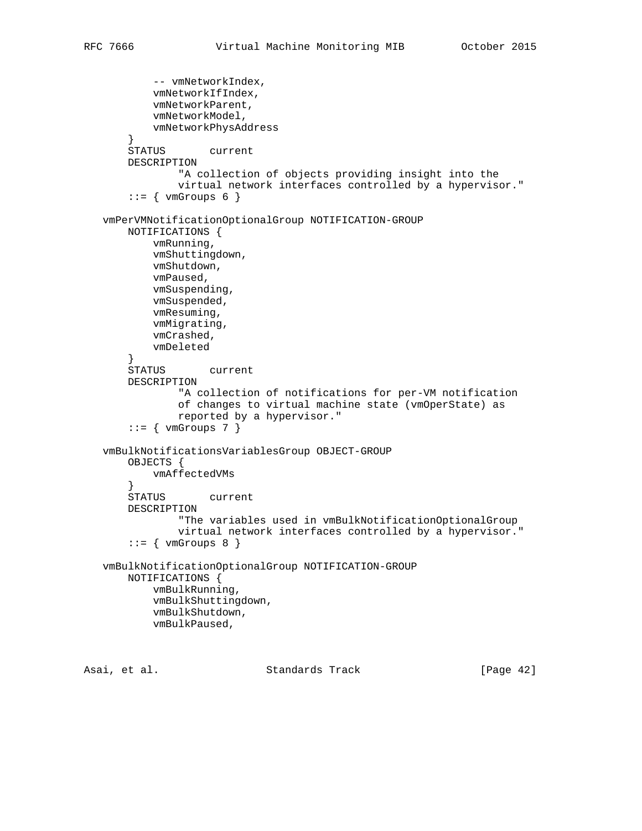```
-- vmNetworkIndex,
         vmNetworkIfIndex,
         vmNetworkParent,
         vmNetworkModel,
         vmNetworkPhysAddress
     }
     STATUS current
     DESCRIPTION
             "A collection of objects providing insight into the
             virtual network interfaces controlled by a hypervisor."
    ::= { vmGroups 6 }
 vmPerVMNotificationOptionalGroup NOTIFICATION-GROUP
     NOTIFICATIONS {
         vmRunning,
         vmShuttingdown,
         vmShutdown,
         vmPaused,
         vmSuspending,
         vmSuspended,
         vmResuming,
         vmMigrating,
         vmCrashed,
         vmDeleted
     }
     STATUS current
     DESCRIPTION
             "A collection of notifications for per-VM notification
             of changes to virtual machine state (vmOperState) as
             reported by a hypervisor."
    ::= { vmGroups 7 }
 vmBulkNotificationsVariablesGroup OBJECT-GROUP
     OBJECTS {
         vmAffectedVMs
     }
     STATUS current
     DESCRIPTION
             "The variables used in vmBulkNotificationOptionalGroup
             virtual network interfaces controlled by a hypervisor."
    ::= { vmGroups 8 }
 vmBulkNotificationOptionalGroup NOTIFICATION-GROUP
     NOTIFICATIONS {
         vmBulkRunning,
         vmBulkShuttingdown,
         vmBulkShutdown,
         vmBulkPaused,
```
Asai, et al. Standards Track [Page 42]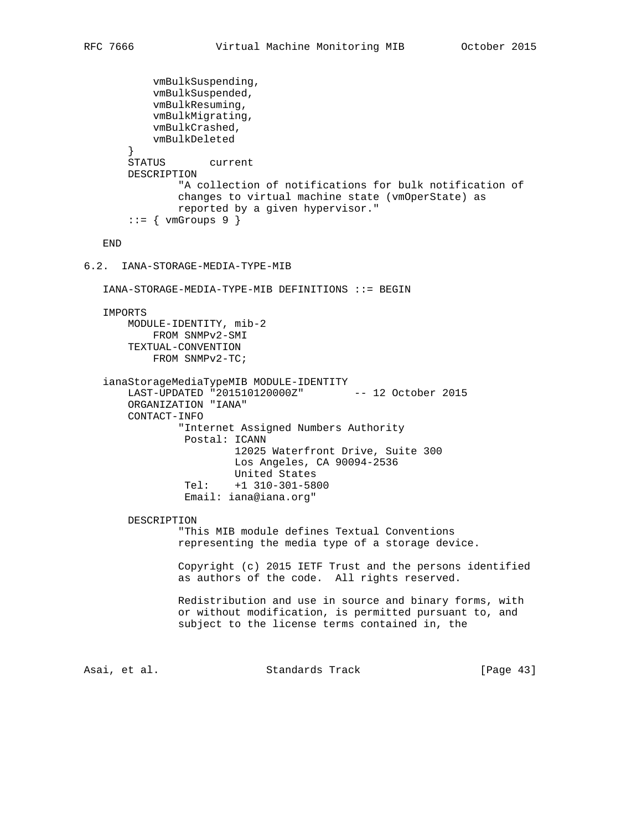```
 vmBulkSuspending,
           vmBulkSuspended,
           vmBulkResuming,
           vmBulkMigrating,
           vmBulkCrashed,
           vmBulkDeleted
        }
        STATUS current
        DESCRIPTION
                "A collection of notifications for bulk notification of
               changes to virtual machine state (vmOperState) as
               reported by a given hypervisor."
       ::= { vmGroups 9 }
    END
6.2. IANA-STORAGE-MEDIA-TYPE-MIB
    IANA-STORAGE-MEDIA-TYPE-MIB DEFINITIONS ::= BEGIN
    IMPORTS
       MODULE-IDENTITY, mib-2
           FROM SNMPv2-SMI
        TEXTUAL-CONVENTION
           FROM SNMPv2-TC;
    ianaStorageMediaTypeMIB MODULE-IDENTITY
        LAST-UPDATED "201510120000Z" -- 12 October 2015
        ORGANIZATION "IANA"
       CONTACT-INFO
                "Internet Assigned Numbers Authority
                Postal: ICANN
                        12025 Waterfront Drive, Suite 300
                        Los Angeles, CA 90094-2536
                        United States
                 Tel: +1 310-301-5800
                 Email: iana@iana.org"
        DESCRIPTION
                "This MIB module defines Textual Conventions
                representing the media type of a storage device.
                Copyright (c) 2015 IETF Trust and the persons identified
                as authors of the code. All rights reserved.
                Redistribution and use in source and binary forms, with
                or without modification, is permitted pursuant to, and
                subject to the license terms contained in, the
Asai, et al. Standards Track [Page 43]
```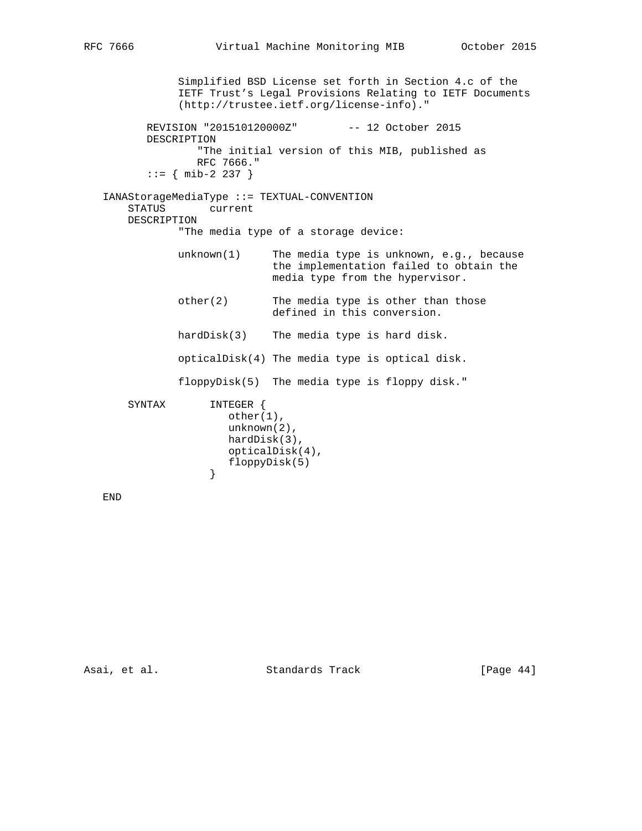Simplified BSD License set forth in Section 4.c of the IETF Trust's Legal Provisions Relating to IETF Documents (http://trustee.ietf.org/license-info)." REVISION "201510120000Z" -- 12 October 2015 DESCRIPTION "The initial version of this MIB, published as RFC 7666."  $::=$  { mib-2 237 } IANAStorageMediaType ::= TEXTUAL-CONVENTION STATUS current DESCRIPTION "The media type of a storage device: unknown(1) The media type is unknown, e.g., because the implementation failed to obtain the media type from the hypervisor. other(2) The media type is other than those defined in this conversion. hardDisk(3) The media type is hard disk. opticalDisk(4) The media type is optical disk. floppyDisk(5) The media type is floppy disk." SYNTAX INTEGER { other(1), unknown(2), hardDisk(3), opticalDisk(4), floppyDisk(5) }

END

Asai, et al. Standards Track [Page 44]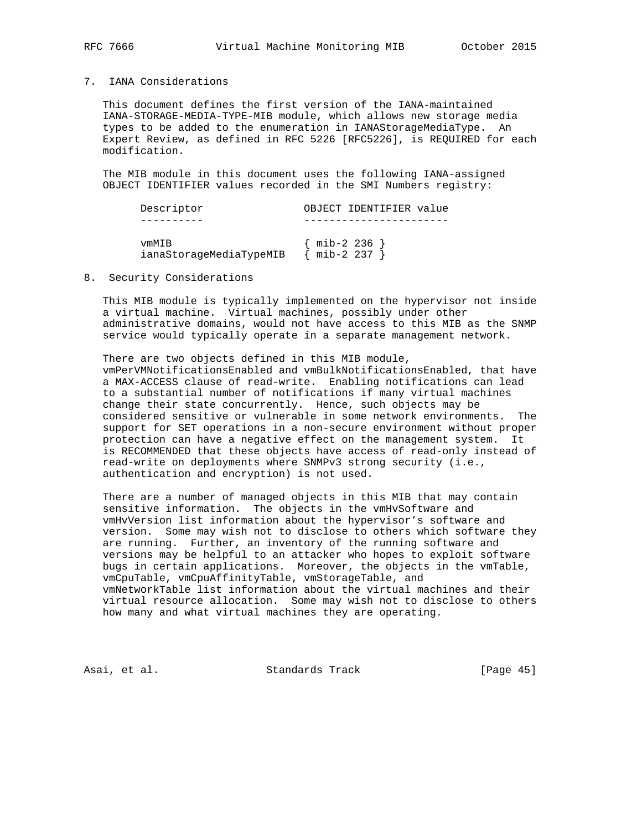### 7. IANA Considerations

 This document defines the first version of the IANA-maintained IANA-STORAGE-MEDIA-TYPE-MIB module, which allows new storage media types to be added to the enumeration in IANAStorageMediaType. An Expert Review, as defined in RFC 5226 [RFC5226], is REQUIRED for each modification.

 The MIB module in this document uses the following IANA-assigned OBJECT IDENTIFIER values recorded in the SMI Numbers registry:

| Descriptor                       |           | OBJECT IDENTIFIER value |  |
|----------------------------------|-----------|-------------------------|--|
|                                  |           |                         |  |
| vmMTB<br>ianaStorageMediaTypeMIB | mib-2 237 | mib-2 236 }             |  |

#### 8. Security Considerations

 This MIB module is typically implemented on the hypervisor not inside a virtual machine. Virtual machines, possibly under other administrative domains, would not have access to this MIB as the SNMP service would typically operate in a separate management network.

 There are two objects defined in this MIB module, vmPerVMNotificationsEnabled and vmBulkNotificationsEnabled, that have a MAX-ACCESS clause of read-write. Enabling notifications can lead to a substantial number of notifications if many virtual machines change their state concurrently. Hence, such objects may be considered sensitive or vulnerable in some network environments. The support for SET operations in a non-secure environment without proper protection can have a negative effect on the management system. It is RECOMMENDED that these objects have access of read-only instead of read-write on deployments where SNMPv3 strong security (i.e., authentication and encryption) is not used.

 There are a number of managed objects in this MIB that may contain sensitive information. The objects in the vmHvSoftware and vmHvVersion list information about the hypervisor's software and version. Some may wish not to disclose to others which software they are running. Further, an inventory of the running software and versions may be helpful to an attacker who hopes to exploit software bugs in certain applications. Moreover, the objects in the vmTable, vmCpuTable, vmCpuAffinityTable, vmStorageTable, and vmNetworkTable list information about the virtual machines and their virtual resource allocation. Some may wish not to disclose to others how many and what virtual machines they are operating.

Asai, et al. Standards Track [Page 45]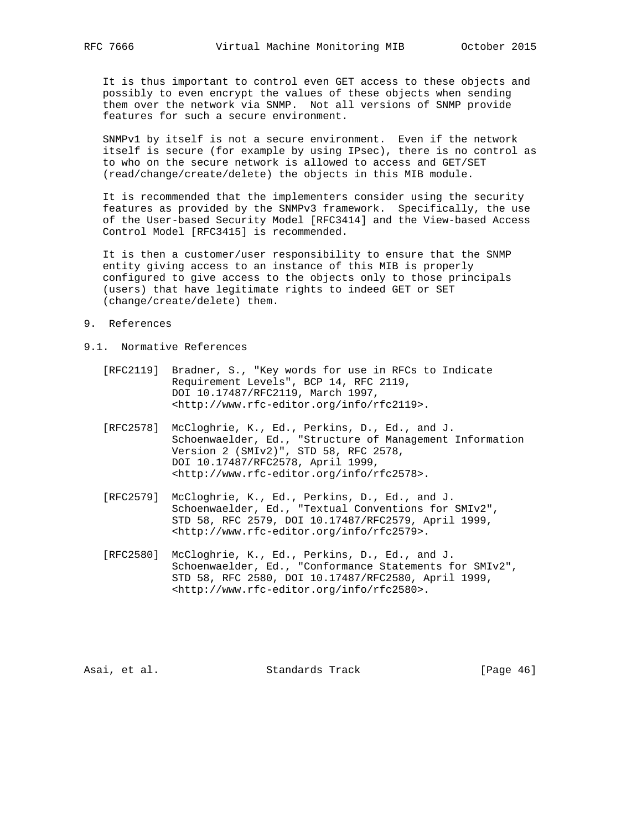It is thus important to control even GET access to these objects and possibly to even encrypt the values of these objects when sending them over the network via SNMP. Not all versions of SNMP provide features for such a secure environment.

 SNMPv1 by itself is not a secure environment. Even if the network itself is secure (for example by using IPsec), there is no control as to who on the secure network is allowed to access and GET/SET (read/change/create/delete) the objects in this MIB module.

 It is recommended that the implementers consider using the security features as provided by the SNMPv3 framework. Specifically, the use of the User-based Security Model [RFC3414] and the View-based Access Control Model [RFC3415] is recommended.

 It is then a customer/user responsibility to ensure that the SNMP entity giving access to an instance of this MIB is properly configured to give access to the objects only to those principals (users) that have legitimate rights to indeed GET or SET (change/create/delete) them.

- 9. References
- 9.1. Normative References
	- [RFC2119] Bradner, S., "Key words for use in RFCs to Indicate Requirement Levels", BCP 14, RFC 2119, DOI 10.17487/RFC2119, March 1997, <http://www.rfc-editor.org/info/rfc2119>.
	- [RFC2578] McCloghrie, K., Ed., Perkins, D., Ed., and J. Schoenwaelder, Ed., "Structure of Management Information Version 2 (SMIv2)", STD 58, RFC 2578, DOI 10.17487/RFC2578, April 1999, <http://www.rfc-editor.org/info/rfc2578>.
	- [RFC2579] McCloghrie, K., Ed., Perkins, D., Ed., and J. Schoenwaelder, Ed., "Textual Conventions for SMIv2", STD 58, RFC 2579, DOI 10.17487/RFC2579, April 1999, <http://www.rfc-editor.org/info/rfc2579>.
	- [RFC2580] McCloghrie, K., Ed., Perkins, D., Ed., and J. Schoenwaelder, Ed., "Conformance Statements for SMIv2", STD 58, RFC 2580, DOI 10.17487/RFC2580, April 1999, <http://www.rfc-editor.org/info/rfc2580>.

Asai, et al. Standards Track [Page 46]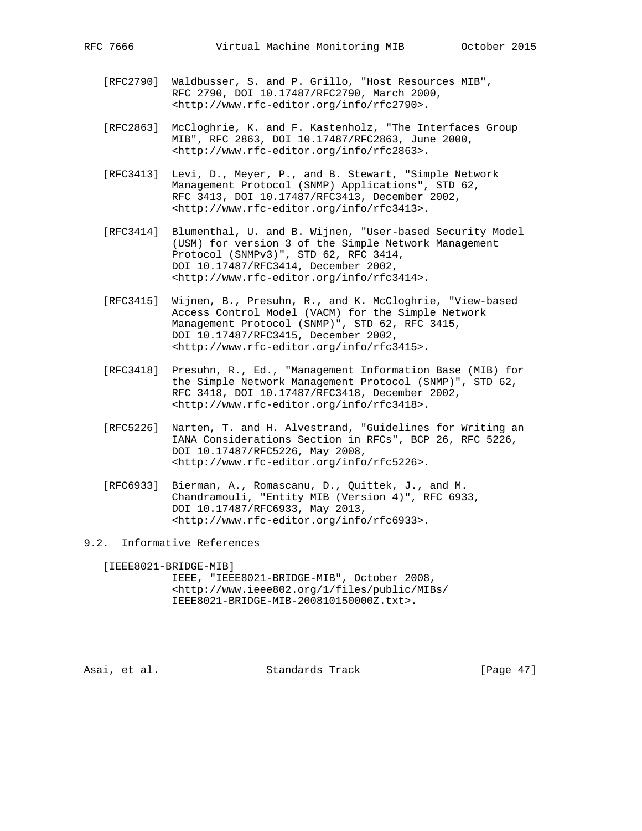- [RFC2790] Waldbusser, S. and P. Grillo, "Host Resources MIB", RFC 2790, DOI 10.17487/RFC2790, March 2000, <http://www.rfc-editor.org/info/rfc2790>.
- [RFC2863] McCloghrie, K. and F. Kastenholz, "The Interfaces Group MIB", RFC 2863, DOI 10.17487/RFC2863, June 2000, <http://www.rfc-editor.org/info/rfc2863>.
- [RFC3413] Levi, D., Meyer, P., and B. Stewart, "Simple Network Management Protocol (SNMP) Applications", STD 62, RFC 3413, DOI 10.17487/RFC3413, December 2002, <http://www.rfc-editor.org/info/rfc3413>.
- [RFC3414] Blumenthal, U. and B. Wijnen, "User-based Security Model (USM) for version 3 of the Simple Network Management Protocol (SNMPv3)", STD 62, RFC 3414, DOI 10.17487/RFC3414, December 2002, <http://www.rfc-editor.org/info/rfc3414>.
- [RFC3415] Wijnen, B., Presuhn, R., and K. McCloghrie, "View-based Access Control Model (VACM) for the Simple Network Management Protocol (SNMP)", STD 62, RFC 3415, DOI 10.17487/RFC3415, December 2002, <http://www.rfc-editor.org/info/rfc3415>.
- [RFC3418] Presuhn, R., Ed., "Management Information Base (MIB) for the Simple Network Management Protocol (SNMP)", STD 62, RFC 3418, DOI 10.17487/RFC3418, December 2002, <http://www.rfc-editor.org/info/rfc3418>.
- [RFC5226] Narten, T. and H. Alvestrand, "Guidelines for Writing an IANA Considerations Section in RFCs", BCP 26, RFC 5226, DOI 10.17487/RFC5226, May 2008, <http://www.rfc-editor.org/info/rfc5226>.
- [RFC6933] Bierman, A., Romascanu, D., Quittek, J., and M. Chandramouli, "Entity MIB (Version 4)", RFC 6933, DOI 10.17487/RFC6933, May 2013, <http://www.rfc-editor.org/info/rfc6933>.
- 9.2. Informative References

 [IEEE8021-BRIDGE-MIB] IEEE, "IEEE8021-BRIDGE-MIB", October 2008, <http://www.ieee802.org/1/files/public/MIBs/ IEEE8021-BRIDGE-MIB-200810150000Z.txt>.

Asai, et al. Standards Track [Page 47]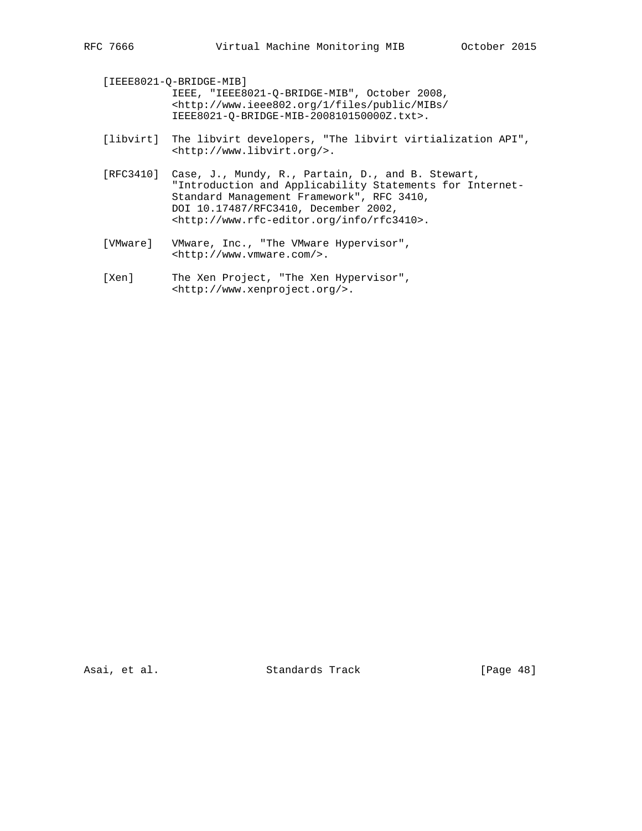[IEEE8021-Q-BRIDGE-MIB] IEEE, "IEEE8021-Q-BRIDGE-MIB", October 2008, <http://www.ieee802.org/1/files/public/MIBs/ IEEE8021-Q-BRIDGE-MIB-200810150000Z.txt>. [libvirt] The libvirt developers, "The libvirt virtialization API", <http://www.libvirt.org/>. [RFC3410] Case, J., Mundy, R., Partain, D., and B. Stewart, "Introduction and Applicability Statements for Internet- Standard Management Framework", RFC 3410, DOI 10.17487/RFC3410, December 2002,

<http://www.rfc-editor.org/info/rfc3410>.

 [VMware] VMware, Inc., "The VMware Hypervisor", <http://www.vmware.com/>.

[Xen] The Xen Project, "The Xen Hypervisor", <http://www.xenproject.org/>.

Asai, et al. Standards Track [Page 48]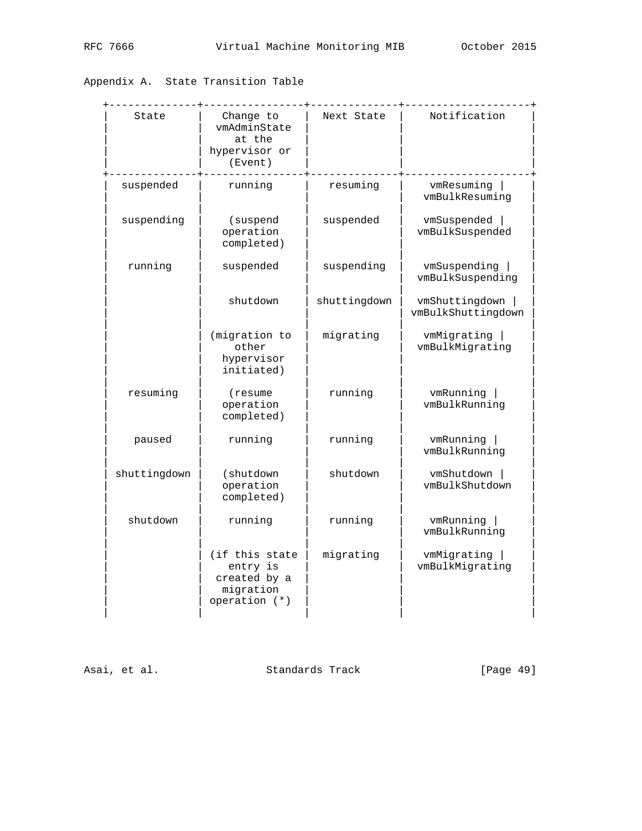# Appendix A. State Transition Table

| State        | Change to<br>vmAdminState<br>at the<br>hypervisor or<br>(Event)            | Next State   | Notification                         |
|--------------|----------------------------------------------------------------------------|--------------|--------------------------------------|
| suspended    | running                                                                    | resuming     | vmResuming  <br>vmBulkResuming       |
| suspending   | (suspend<br>operation<br>completed)                                        | suspended    | vmSuspended<br>vmBulkSuspended       |
| running      | suspended                                                                  | suspending   | vmSuspending<br>vmBulkSuspending     |
|              | shutdown                                                                   | shuttingdown | vmShuttingdown<br>vmBulkShuttingdown |
|              | (migration to<br>other<br>hypervisor<br>initiated)                         | migrating    | vmMigrating  <br>vmBulkMigrating     |
| resuming     | (resume)<br>operation<br>completed)                                        | running      | vmRunning<br>vmBulkRunning           |
| paused       | running                                                                    | running      | vmRunning<br>vmBulkRunning           |
| shuttingdown | (shutdown<br>operation<br>completed)                                       | shutdown     | vmShutdown<br>vmBulkShutdown         |
| shutdown     | running                                                                    | running      | vmRunning<br>vmBulkRunning           |
|              | (if this state<br>entry is<br>created by a<br>migration<br>operation $(*)$ | migrating    | vmMigrating<br>vmBulkMigrating       |

Asai, et al. Standards Track [Page 49]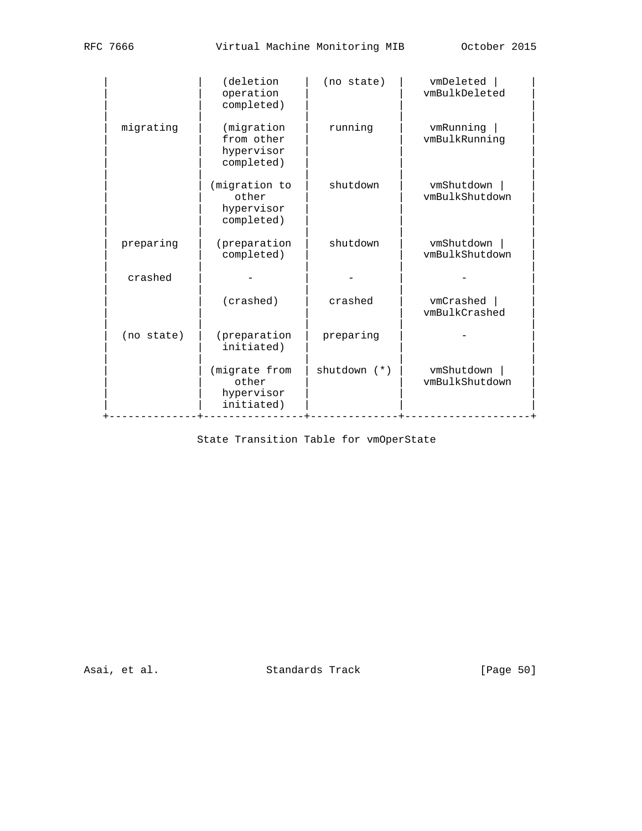|            | (deletion<br>operation<br>completed)                 | (no state)       | vmDeleted<br>vmBulkDeleted   |  |  |  |  |
|------------|------------------------------------------------------|------------------|------------------------------|--|--|--|--|
| migrating  | (migration<br>from other<br>hypervisor<br>completed) | running          | vmRunning<br>vmBulkRunning   |  |  |  |  |
|            | (migration to<br>other<br>hypervisor<br>completed)   | shutdown         | vmShutdown<br>vmBulkShutdown |  |  |  |  |
| preparing  | (preparation<br>completed)                           | shutdown         | vmShutdown<br>vmBulkShutdown |  |  |  |  |
| crashed    |                                                      |                  |                              |  |  |  |  |
|            | (crashed)                                            | crashed          | vmCrashed<br>vmBulkCrashed   |  |  |  |  |
| (no state) | (preparation<br>initiated)                           | preparing        |                              |  |  |  |  |
|            | (migrate from<br>other<br>hypervisor<br>initiated)   | $shutdown$ $(*)$ | vmShutdown<br>vmBulkShutdown |  |  |  |  |

State Transition Table for vmOperState

Asai, et al. Standards Track [Page 50]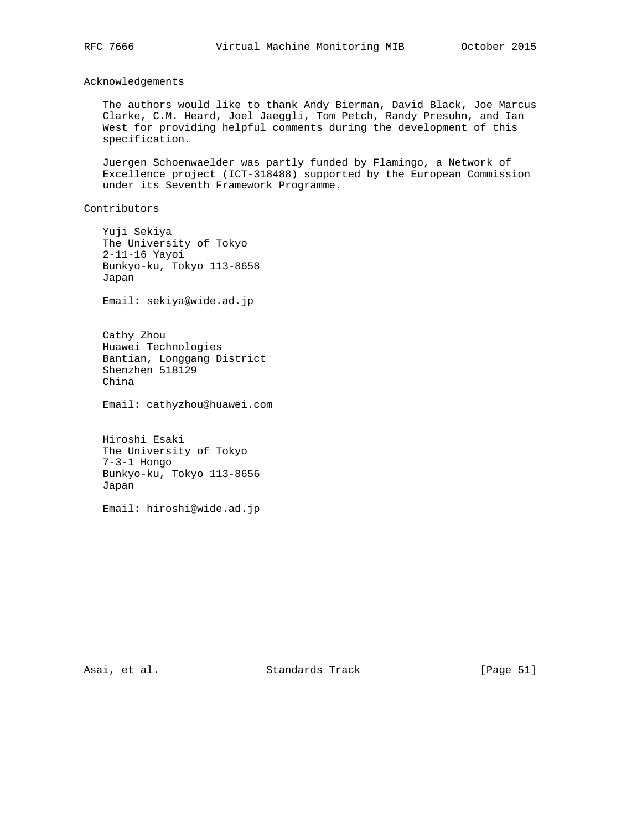Acknowledgements

 The authors would like to thank Andy Bierman, David Black, Joe Marcus Clarke, C.M. Heard, Joel Jaeggli, Tom Petch, Randy Presuhn, and Ian West for providing helpful comments during the development of this specification.

 Juergen Schoenwaelder was partly funded by Flamingo, a Network of Excellence project (ICT-318488) supported by the European Commission under its Seventh Framework Programme.

Contributors

 Yuji Sekiya The University of Tokyo 2-11-16 Yayoi Bunkyo-ku, Tokyo 113-8658 Japan

Email: sekiya@wide.ad.jp

 Cathy Zhou Huawei Technologies Bantian, Longgang District Shenzhen 518129 China

Email: cathyzhou@huawei.com

 Hiroshi Esaki The University of Tokyo 7-3-1 Hongo Bunkyo-ku, Tokyo 113-8656 Japan

Email: hiroshi@wide.ad.jp

Asai, et al. Standards Track [Page 51]